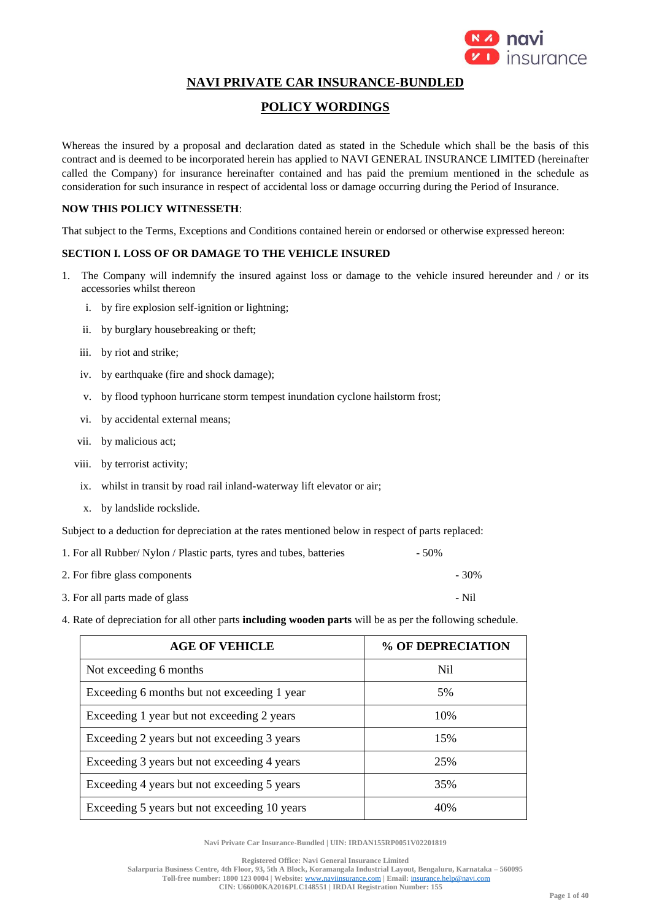

# **NAVI PRIVATE CAR INSURANCE-BUNDLED**

# **POLICY WORDINGS**

Whereas the insured by a proposal and declaration dated as stated in the Schedule which shall be the basis of this contract and is deemed to be incorporated herein has applied to NAVI GENERAL INSURANCE LIMITED (hereinafter called the Company) for insurance hereinafter contained and has paid the premium mentioned in the schedule as consideration for such insurance in respect of accidental loss or damage occurring during the Period of Insurance.

#### **NOW THIS POLICY WITNESSETH**:

That subject to the Terms, Exceptions and Conditions contained herein or endorsed or otherwise expressed hereon:

### **SECTION I. LOSS OF OR DAMAGE TO THE VEHICLE INSURED**

- 1. The Company will indemnify the insured against loss or damage to the vehicle insured hereunder and / or its accessories whilst thereon
	- i. by fire explosion self-ignition or lightning;
	- ii. by burglary housebreaking or theft;
	- iii. by riot and strike;
	- iv. by earthquake (fire and shock damage);
	- v. by flood typhoon hurricane storm tempest inundation cyclone hailstorm frost;
	- vi. by accidental external means;
	- vii. by malicious act;
	- viii. by terrorist activity;
	- ix. whilst in transit by road rail inland-waterway lift elevator or air;
	- x. by landslide rockslide.

Subject to a deduction for depreciation at the rates mentioned below in respect of parts replaced:

| 1. For all Rubber/ Nylon / Plastic parts, tyres and tubes, batteries | $-50\%$ |
|----------------------------------------------------------------------|---------|
| 2. For fibre glass components                                        | $-30\%$ |
|                                                                      |         |

- 3. For all parts made of glass  $-$  Nil
- 4. Rate of depreciation for all other parts **including wooden parts** will be as per the following schedule.

| <b>AGE OF VEHICLE</b>                        | % OF DEPRECIATION |
|----------------------------------------------|-------------------|
| Not exceeding 6 months                       | Nil.              |
| Exceeding 6 months but not exceeding 1 year  | 5%                |
| Exceeding 1 year but not exceeding 2 years   | 10%               |
| Exceeding 2 years but not exceeding 3 years  | 15%               |
| Exceeding 3 years but not exceeding 4 years  | 25%               |
| Exceeding 4 years but not exceeding 5 years  | 35%               |
| Exceeding 5 years but not exceeding 10 years | 40%               |

**Navi Private Car Insurance-Bundled | UIN: IRDAN155RP0051V02201819**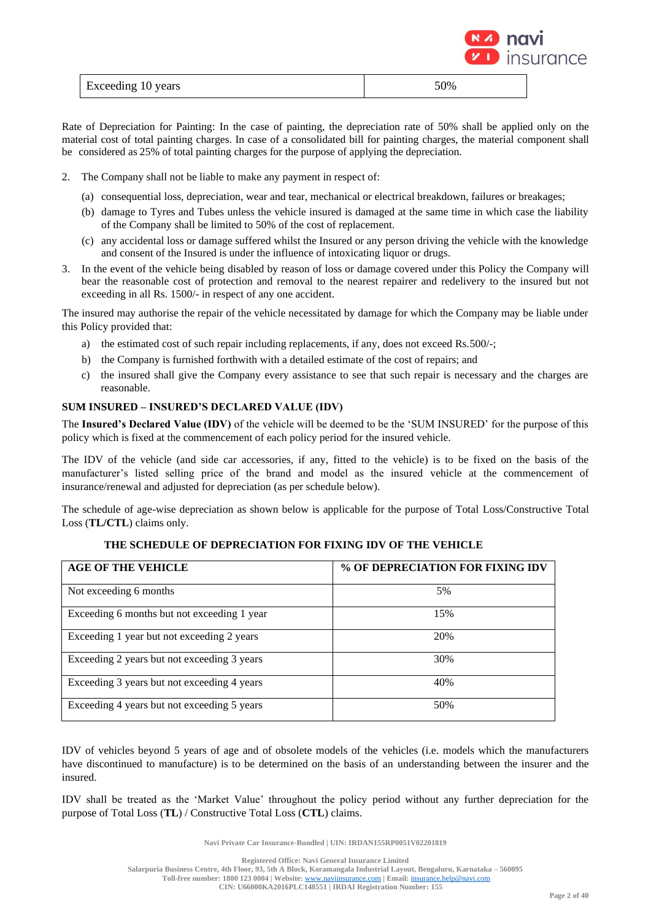

| Exceeding 10 years | 50% |
|--------------------|-----|

Rate of Depreciation for Painting: In the case of painting, the depreciation rate of 50% shall be applied only on the material cost of total painting charges. In case of a consolidated bill for painting charges, the material component shall be considered as 25% of total painting charges for the purpose of applying the depreciation.

- 2. The Company shall not be liable to make any payment in respect of:
	- (a) consequential loss, depreciation, wear and tear, mechanical or electrical breakdown, failures or breakages;
	- (b) damage to Tyres and Tubes unless the vehicle insured is damaged at the same time in which case the liability of the Company shall be limited to 50% of the cost of replacement.
	- (c) any accidental loss or damage suffered whilst the Insured or any person driving the vehicle with the knowledge and consent of the Insured is under the influence of intoxicating liquor or drugs.
- 3. In the event of the vehicle being disabled by reason of loss or damage covered under this Policy the Company will bear the reasonable cost of protection and removal to the nearest repairer and redelivery to the insured but not exceeding in all Rs. 1500/- in respect of any one accident.

The insured may authorise the repair of the vehicle necessitated by damage for which the Company may be liable under this Policy provided that:

- a) the estimated cost of such repair including replacements, if any, does not exceed Rs.500/-;
- b) the Company is furnished forthwith with a detailed estimate of the cost of repairs; and
- c) the insured shall give the Company every assistance to see that such repair is necessary and the charges are reasonable.

### **SUM INSURED – INSURED'S DECLARED VALUE (IDV)**

The **Insured's Declared Value (IDV)** of the vehicle will be deemed to be the 'SUM INSURED' for the purpose of this policy which is fixed at the commencement of each policy period for the insured vehicle.

The IDV of the vehicle (and side car accessories, if any, fitted to the vehicle) is to be fixed on the basis of the manufacturer's listed selling price of the brand and model as the insured vehicle at the commencement of insurance/renewal and adjusted for depreciation (as per schedule below).

The schedule of age-wise depreciation as shown below is applicable for the purpose of Total Loss/Constructive Total Loss (**TL/CTL**) claims only.

| <b>AGE OF THE VEHICLE</b>                   | % OF DEPRECIATION FOR FIXING IDV |
|---------------------------------------------|----------------------------------|
| Not exceeding 6 months                      | 5%                               |
| Exceeding 6 months but not exceeding 1 year | 15%                              |
| Exceeding 1 year but not exceeding 2 years  | 20%                              |
| Exceeding 2 years but not exceeding 3 years | 30%                              |
| Exceeding 3 years but not exceeding 4 years | 40%                              |
| Exceeding 4 years but not exceeding 5 years | 50%                              |

### **THE SCHEDULE OF DEPRECIATION FOR FIXING IDV OF THE VEHICLE**

IDV of vehicles beyond 5 years of age and of obsolete models of the vehicles (i.e. models which the manufacturers have discontinued to manufacture) is to be determined on the basis of an understanding between the insurer and the insured.

IDV shall be treated as the 'Market Value' throughout the policy period without any further depreciation for the purpose of Total Loss (**TL**) / Constructive Total Loss (**CTL**) claims.

**Navi Private Car Insurance-Bundled | UIN: IRDAN155RP0051V02201819**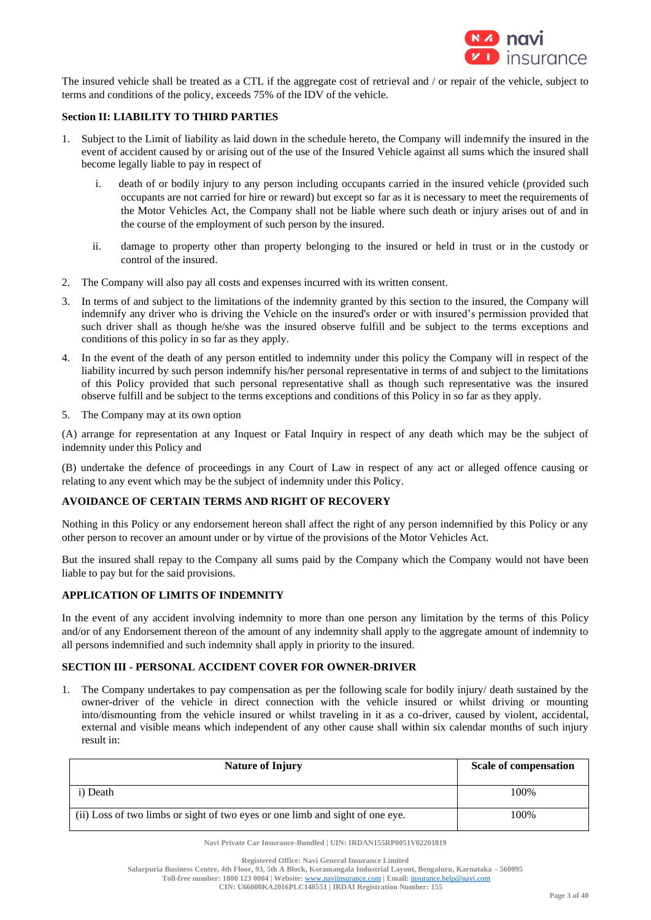

The insured vehicle shall be treated as a CTL if the aggregate cost of retrieval and / or repair of the vehicle, subject to terms and conditions of the policy, exceeds 75% of the IDV of the vehicle.

## **Section II: LIABILITY TO THIRD PARTIES**

- 1. Subject to the Limit of liability as laid down in the schedule hereto, the Company will indemnify the insured in the event of accident caused by or arising out of the use of the Insured Vehicle against all sums which the insured shall become legally liable to pay in respect of
	- i. death of or bodily injury to any person including occupants carried in the insured vehicle (provided such occupants are not carried for hire or reward) but except so far as it is necessary to meet the requirements of the Motor Vehicles Act, the Company shall not be liable where such death or injury arises out of and in the course of the employment of such person by the insured.
	- ii. damage to property other than property belonging to the insured or held in trust or in the custody or control of the insured.
- 2. The Company will also pay all costs and expenses incurred with its written consent.
- 3. In terms of and subject to the limitations of the indemnity granted by this section to the insured, the Company will indemnify any driver who is driving the Vehicle on the insured's order or with insured's permission provided that such driver shall as though he/she was the insured observe fulfill and be subject to the terms exceptions and conditions of this policy in so far as they apply.
- 4. In the event of the death of any person entitled to indemnity under this policy the Company will in respect of the liability incurred by such person indemnify his/her personal representative in terms of and subject to the limitations of this Policy provided that such personal representative shall as though such representative was the insured observe fulfill and be subject to the terms exceptions and conditions of this Policy in so far as they apply.
- 5. The Company may at its own option

(A) arrange for representation at any Inquest or Fatal Inquiry in respect of any death which may be the subject of indemnity under this Policy and

(B) undertake the defence of proceedings in any Court of Law in respect of any act or alleged offence causing or relating to any event which may be the subject of indemnity under this Policy.

### **AVOIDANCE OF CERTAIN TERMS AND RIGHT OF RECOVERY**

Nothing in this Policy or any endorsement hereon shall affect the right of any person indemnified by this Policy or any other person to recover an amount under or by virtue of the provisions of the Motor Vehicles Act.

But the insured shall repay to the Company all sums paid by the Company which the Company would not have been liable to pay but for the said provisions.

### **APPLICATION OF LIMITS OF INDEMNITY**

In the event of any accident involving indemnity to more than one person any limitation by the terms of this Policy and/or of any Endorsement thereon of the amount of any indemnity shall apply to the aggregate amount of indemnity to all persons indemnified and such indemnity shall apply in priority to the insured.

### **SECTION III - PERSONAL ACCIDENT COVER FOR OWNER-DRIVER**

1. The Company undertakes to pay compensation as per the following scale for bodily injury/ death sustained by the owner-driver of the vehicle in direct connection with the vehicle insured or whilst driving or mounting into/dismounting from the vehicle insured or whilst traveling in it as a co-driver, caused by violent, accidental, external and visible means which independent of any other cause shall within six calendar months of such injury result in:

| <b>Nature of Injury</b>                                                       | <b>Scale of compensation</b> |
|-------------------------------------------------------------------------------|------------------------------|
| i) Death                                                                      | 100%                         |
| (ii) Loss of two limbs or sight of two eyes or one limb and sight of one eye. | 100%                         |

**Navi Private Car Insurance-Bundled | UIN: IRDAN155RP0051V02201819**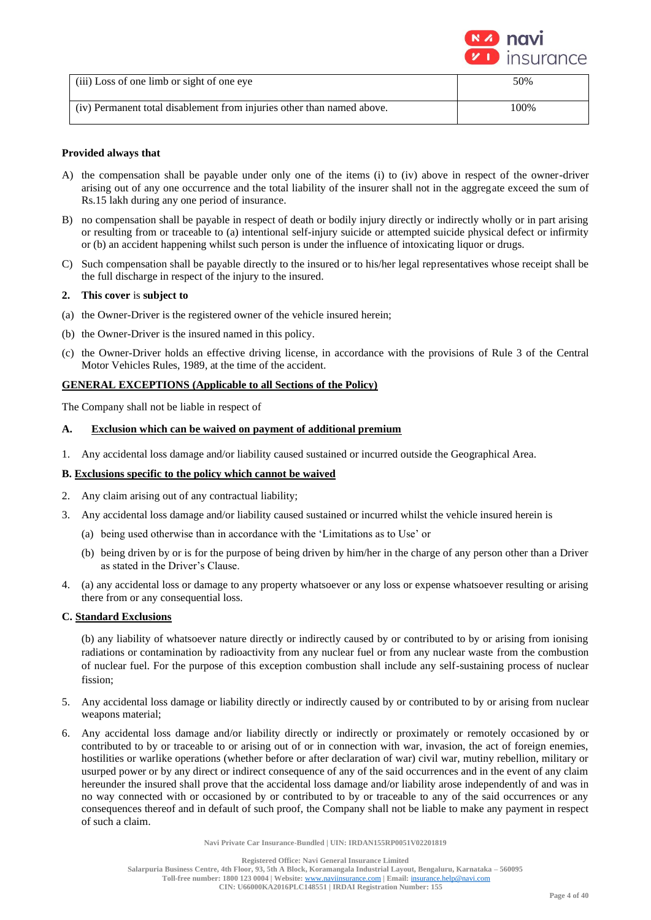

| (iii) Loss of one limb or sight of one eye                             | 50%  |
|------------------------------------------------------------------------|------|
| (iv) Permanent total disablement from injuries other than named above. | 100% |

#### **Provided always that**

- A) the compensation shall be payable under only one of the items (i) to (iv) above in respect of the owner-driver arising out of any one occurrence and the total liability of the insurer shall not in the aggregate exceed the sum of Rs.15 lakh during any one period of insurance.
- B) no compensation shall be payable in respect of death or bodily injury directly or indirectly wholly or in part arising or resulting from or traceable to (a) intentional self-injury suicide or attempted suicide physical defect or infirmity or (b) an accident happening whilst such person is under the influence of intoxicating liquor or drugs.
- C) Such compensation shall be payable directly to the insured or to his/her legal representatives whose receipt shall be the full discharge in respect of the injury to the insured.

#### **2. This cover** is **subject to**

- (a) the Owner-Driver is the registered owner of the vehicle insured herein;
- (b) the Owner-Driver is the insured named in this policy.
- (c) the Owner-Driver holds an effective driving license, in accordance with the provisions of Rule 3 of the Central Motor Vehicles Rules, 1989, at the time of the accident.

### **GENERAL EXCEPTIONS (Applicable to all Sections of the Policy)**

The Company shall not be liable in respect of

#### **A. Exclusion which can be waived on payment of additional premium**

1. Any accidental loss damage and/or liability caused sustained or incurred outside the Geographical Area.

### **B. Exclusions specific to the policy which cannot be waived**

- 2. Any claim arising out of any contractual liability;
- 3. Any accidental loss damage and/or liability caused sustained or incurred whilst the vehicle insured herein is
	- (a) being used otherwise than in accordance with the 'Limitations as to Use' or
	- (b) being driven by or is for the purpose of being driven by him/her in the charge of any person other than a Driver as stated in the Driver's Clause.
- 4. (a) any accidental loss or damage to any property whatsoever or any loss or expense whatsoever resulting or arising there from or any consequential loss.

### **C. Standard Exclusions**

(b) any liability of whatsoever nature directly or indirectly caused by or contributed to by or arising from ionising radiations or contamination by radioactivity from any nuclear fuel or from any nuclear waste from the combustion of nuclear fuel. For the purpose of this exception combustion shall include any self-sustaining process of nuclear fission;

- 5. Any accidental loss damage or liability directly or indirectly caused by or contributed to by or arising from nuclear weapons material;
- 6. Any accidental loss damage and/or liability directly or indirectly or proximately or remotely occasioned by or contributed to by or traceable to or arising out of or in connection with war, invasion, the act of foreign enemies, hostilities or warlike operations (whether before or after declaration of war) civil war, mutiny rebellion, military or usurped power or by any direct or indirect consequence of any of the said occurrences and in the event of any claim hereunder the insured shall prove that the accidental loss damage and/or liability arose independently of and was in no way connected with or occasioned by or contributed to by or traceable to any of the said occurrences or any consequences thereof and in default of such proof, the Company shall not be liable to make any payment in respect of such a claim.

**Navi Private Car Insurance-Bundled | UIN: IRDAN155RP0051V02201819**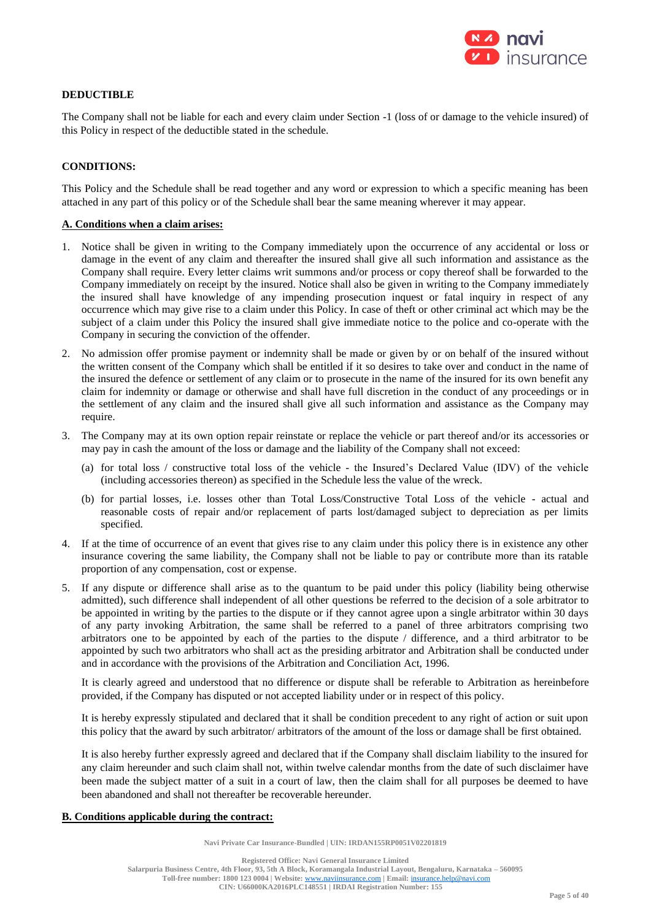

#### **DEDUCTIBLE**

The Company shall not be liable for each and every claim under Section -1 (loss of or damage to the vehicle insured) of this Policy in respect of the deductible stated in the schedule.

#### **CONDITIONS:**

This Policy and the Schedule shall be read together and any word or expression to which a specific meaning has been attached in any part of this policy or of the Schedule shall bear the same meaning wherever it may appear.

### **A. Conditions when a claim arises:**

- 1. Notice shall be given in writing to the Company immediately upon the occurrence of any accidental or loss or damage in the event of any claim and thereafter the insured shall give all such information and assistance as the Company shall require. Every letter claims writ summons and/or process or copy thereof shall be forwarded to the Company immediately on receipt by the insured. Notice shall also be given in writing to the Company immediately the insured shall have knowledge of any impending prosecution inquest or fatal inquiry in respect of any occurrence which may give rise to a claim under this Policy. In case of theft or other criminal act which may be the subject of a claim under this Policy the insured shall give immediate notice to the police and co-operate with the Company in securing the conviction of the offender.
- 2. No admission offer promise payment or indemnity shall be made or given by or on behalf of the insured without the written consent of the Company which shall be entitled if it so desires to take over and conduct in the name of the insured the defence or settlement of any claim or to prosecute in the name of the insured for its own benefit any claim for indemnity or damage or otherwise and shall have full discretion in the conduct of any proceedings or in the settlement of any claim and the insured shall give all such information and assistance as the Company may require.
- 3. The Company may at its own option repair reinstate or replace the vehicle or part thereof and/or its accessories or may pay in cash the amount of the loss or damage and the liability of the Company shall not exceed:
	- (a) for total loss / constructive total loss of the vehicle the Insured's Declared Value (IDV) of the vehicle (including accessories thereon) as specified in the Schedule less the value of the wreck.
	- (b) for partial losses, i.e. losses other than Total Loss/Constructive Total Loss of the vehicle actual and reasonable costs of repair and/or replacement of parts lost/damaged subject to depreciation as per limits specified.
- 4. If at the time of occurrence of an event that gives rise to any claim under this policy there is in existence any other insurance covering the same liability, the Company shall not be liable to pay or contribute more than its ratable proportion of any compensation, cost or expense.
- 5. If any dispute or difference shall arise as to the quantum to be paid under this policy (liability being otherwise admitted), such difference shall independent of all other questions be referred to the decision of a sole arbitrator to be appointed in writing by the parties to the dispute or if they cannot agree upon a single arbitrator within 30 days of any party invoking Arbitration, the same shall be referred to a panel of three arbitrators comprising two arbitrators one to be appointed by each of the parties to the dispute / difference, and a third arbitrator to be appointed by such two arbitrators who shall act as the presiding arbitrator and Arbitration shall be conducted under and in accordance with the provisions of the Arbitration and Conciliation Act, 1996.

It is clearly agreed and understood that no difference or dispute shall be referable to Arbitration as hereinbefore provided, if the Company has disputed or not accepted liability under or in respect of this policy.

It is hereby expressly stipulated and declared that it shall be condition precedent to any right of action or suit upon this policy that the award by such arbitrator/ arbitrators of the amount of the loss or damage shall be first obtained.

It is also hereby further expressly agreed and declared that if the Company shall disclaim liability to the insured for any claim hereunder and such claim shall not, within twelve calendar months from the date of such disclaimer have been made the subject matter of a suit in a court of law, then the claim shall for all purposes be deemed to have been abandoned and shall not thereafter be recoverable hereunder.

#### **B. Conditions applicable during the contract:**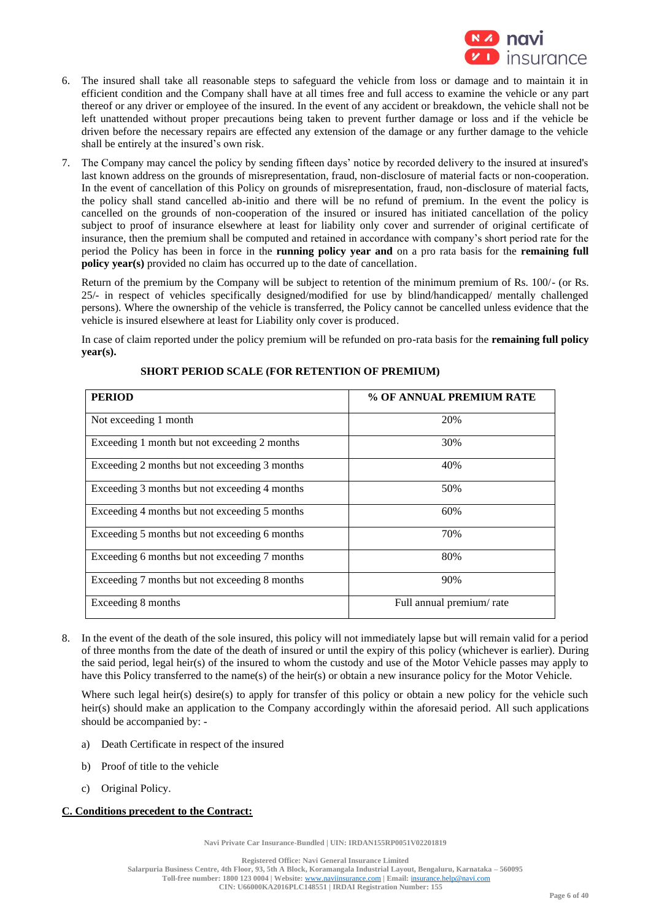

- 6. The insured shall take all reasonable steps to safeguard the vehicle from loss or damage and to maintain it in efficient condition and the Company shall have at all times free and full access to examine the vehicle or any part thereof or any driver or employee of the insured. In the event of any accident or breakdown, the vehicle shall not be left unattended without proper precautions being taken to prevent further damage or loss and if the vehicle be driven before the necessary repairs are effected any extension of the damage or any further damage to the vehicle shall be entirely at the insured's own risk.
- 7. The Company may cancel the policy by sending fifteen days' notice by recorded delivery to the insured at insured's last known address on the grounds of misrepresentation, fraud, non-disclosure of material facts or non-cooperation. In the event of cancellation of this Policy on grounds of misrepresentation, fraud, non-disclosure of material facts, the policy shall stand cancelled ab-initio and there will be no refund of premium. In the event the policy is cancelled on the grounds of non-cooperation of the insured or insured has initiated cancellation of the policy subject to proof of insurance elsewhere at least for liability only cover and surrender of original certificate of insurance, then the premium shall be computed and retained in accordance with company's short period rate for the period the Policy has been in force in the **running policy year and** on a pro rata basis for the **remaining full policy year(s)** provided no claim has occurred up to the date of cancellation.

Return of the premium by the Company will be subject to retention of the minimum premium of Rs. 100/- (or Rs. 25/- in respect of vehicles specifically designed/modified for use by blind/handicapped/ mentally challenged persons). Where the ownership of the vehicle is transferred, the Policy cannot be cancelled unless evidence that the vehicle is insured elsewhere at least for Liability only cover is produced.

In case of claim reported under the policy premium will be refunded on pro-rata basis for the **remaining full policy year(s).**

| <b>PERIOD</b>                                 | % OF ANNUAL PREMIUM RATE |
|-----------------------------------------------|--------------------------|
| Not exceeding 1 month                         | 20%                      |
| Exceeding 1 month but not exceeding 2 months  | 30%                      |
| Exceeding 2 months but not exceeding 3 months | 40%                      |
| Exceeding 3 months but not exceeding 4 months | 50%                      |
| Exceeding 4 months but not exceeding 5 months | 60%                      |
| Exceeding 5 months but not exceeding 6 months | 70%                      |
| Exceeding 6 months but not exceeding 7 months | 80%                      |
| Exceeding 7 months but not exceeding 8 months | 90%                      |
| Exceeding 8 months                            | Full annual premium/rate |

## **SHORT PERIOD SCALE (FOR RETENTION OF PREMIUM)**

8. In the event of the death of the sole insured, this policy will not immediately lapse but will remain valid for a period of three months from the date of the death of insured or until the expiry of this policy (whichever is earlier). During the said period, legal heir(s) of the insured to whom the custody and use of the Motor Vehicle passes may apply to have this Policy transferred to the name(s) of the heir(s) or obtain a new insurance policy for the Motor Vehicle.

Where such legal heir(s) desire(s) to apply for transfer of this policy or obtain a new policy for the vehicle such heir(s) should make an application to the Company accordingly within the aforesaid period. All such applications should be accompanied by: -

- Death Certificate in respect of the insured
- b) Proof of title to the vehicle
- c) Original Policy.

## **C. Conditions precedent to the Contract:**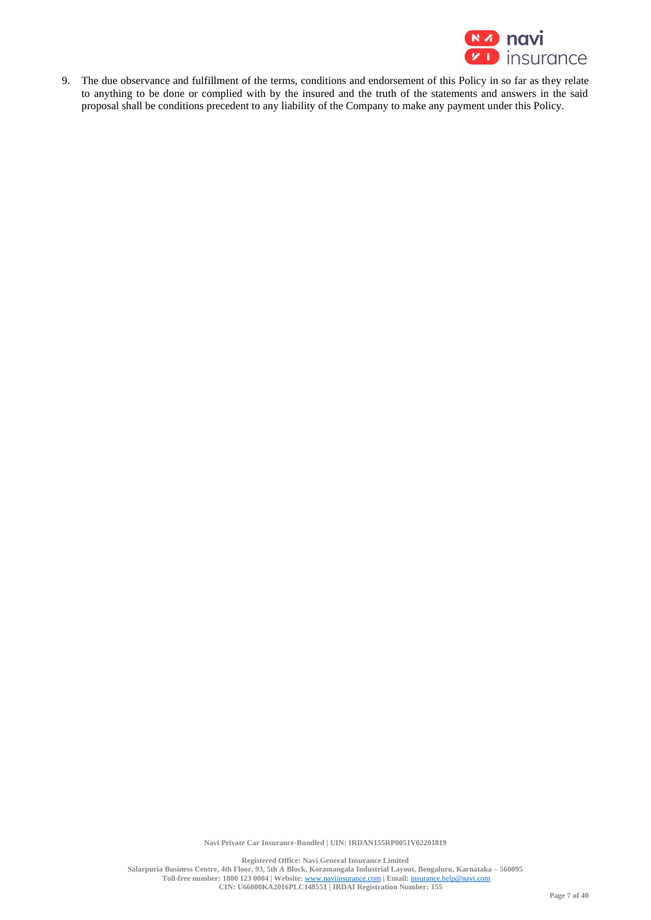

9. The due observance and fulfillment of the terms, conditions and endorsement of this Policy in so far as they relate to anything to be done or complied with by the insured and the truth of the statements and answers in the said proposal shall be conditions precedent to any liability of the Company to make any payment under this Policy.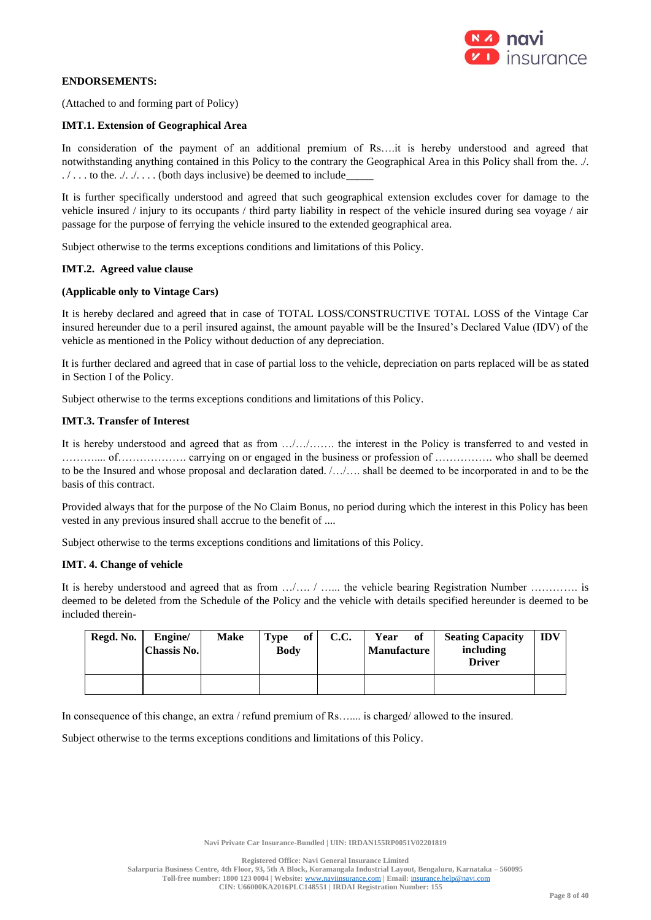

## **ENDORSEMENTS:**

(Attached to and forming part of Policy)

#### **IMT.1. Extension of Geographical Area**

In consideration of the payment of an additional premium of Rs....it is hereby understood and agreed that notwithstanding anything contained in this Policy to the contrary the Geographical Area in this Policy shall from the. ./.  $\ldots$  to the.  $\ldots$  ... (both days inclusive) be deemed to include

It is further specifically understood and agreed that such geographical extension excludes cover for damage to the vehicle insured / injury to its occupants / third party liability in respect of the vehicle insured during sea voyage / air passage for the purpose of ferrying the vehicle insured to the extended geographical area.

Subject otherwise to the terms exceptions conditions and limitations of this Policy.

#### **IMT.2. Agreed value clause**

#### **(Applicable only to Vintage Cars)**

It is hereby declared and agreed that in case of TOTAL LOSS/CONSTRUCTIVE TOTAL LOSS of the Vintage Car insured hereunder due to a peril insured against, the amount payable will be the Insured's Declared Value (IDV) of the vehicle as mentioned in the Policy without deduction of any depreciation.

It is further declared and agreed that in case of partial loss to the vehicle, depreciation on parts replaced will be as stated in Section I of the Policy.

Subject otherwise to the terms exceptions conditions and limitations of this Policy.

## **IMT.3. Transfer of Interest**

It is hereby understood and agreed that as from …/…/……. the interest in the Policy is transferred to and vested in ……….... of………………. carrying on or engaged in the business or profession of ……………. who shall be deemed to be the Insured and whose proposal and declaration dated. /…/…. shall be deemed to be incorporated in and to be the basis of this contract.

Provided always that for the purpose of the No Claim Bonus, no period during which the interest in this Policy has been vested in any previous insured shall accrue to the benefit of ....

Subject otherwise to the terms exceptions conditions and limitations of this Policy.

#### **IMT. 4. Change of vehicle**

It is hereby understood and agreed that as from …/…. / …... the vehicle bearing Registration Number …………. is deemed to be deleted from the Schedule of the Policy and the vehicle with details specified hereunder is deemed to be included therein-

| Regd. No. | Engine/<br><b>Chassis No.</b> | <b>Make</b> | of l<br>Type<br>Body | <b>C.C.</b> | Year<br>of<br><b>Manufacture</b> | <b>Seating Capacity</b><br>including<br><b>Driver</b> | <b>IDV</b> |
|-----------|-------------------------------|-------------|----------------------|-------------|----------------------------------|-------------------------------------------------------|------------|
|           |                               |             |                      |             |                                  |                                                       |            |

In consequence of this change, an extra / refund premium of Rs….... is charged/ allowed to the insured.

Subject otherwise to the terms exceptions conditions and limitations of this Policy.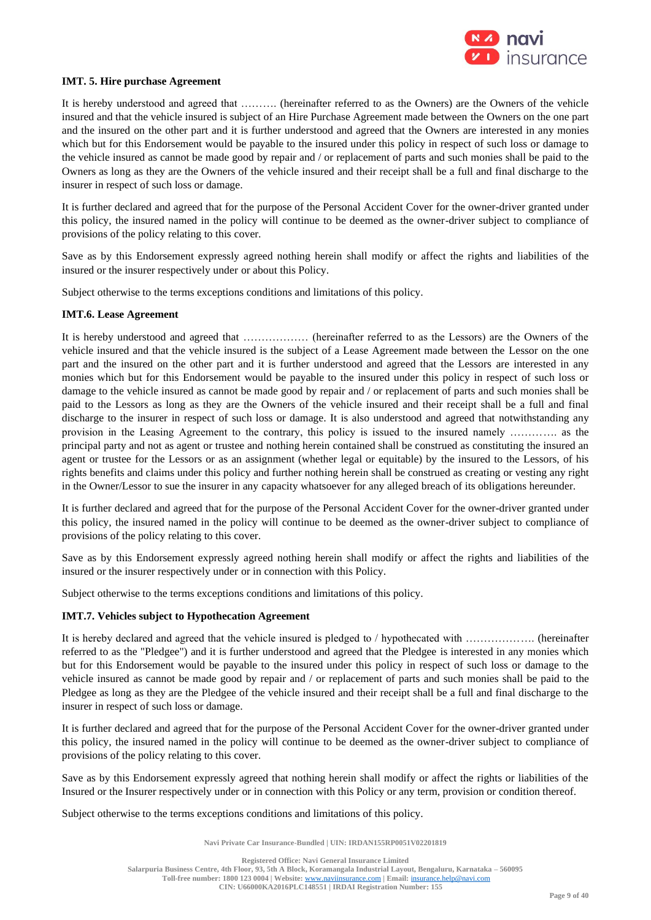

## **IMT. 5. Hire purchase Agreement**

It is hereby understood and agreed that ………. (hereinafter referred to as the Owners) are the Owners of the vehicle insured and that the vehicle insured is subject of an Hire Purchase Agreement made between the Owners on the one part and the insured on the other part and it is further understood and agreed that the Owners are interested in any monies which but for this Endorsement would be payable to the insured under this policy in respect of such loss or damage to the vehicle insured as cannot be made good by repair and / or replacement of parts and such monies shall be paid to the Owners as long as they are the Owners of the vehicle insured and their receipt shall be a full and final discharge to the insurer in respect of such loss or damage.

It is further declared and agreed that for the purpose of the Personal Accident Cover for the owner-driver granted under this policy, the insured named in the policy will continue to be deemed as the owner-driver subject to compliance of provisions of the policy relating to this cover.

Save as by this Endorsement expressly agreed nothing herein shall modify or affect the rights and liabilities of the insured or the insurer respectively under or about this Policy.

Subject otherwise to the terms exceptions conditions and limitations of this policy.

#### **IMT.6. Lease Agreement**

It is hereby understood and agreed that ……………… (hereinafter referred to as the Lessors) are the Owners of the vehicle insured and that the vehicle insured is the subject of a Lease Agreement made between the Lessor on the one part and the insured on the other part and it is further understood and agreed that the Lessors are interested in any monies which but for this Endorsement would be payable to the insured under this policy in respect of such loss or damage to the vehicle insured as cannot be made good by repair and / or replacement of parts and such monies shall be paid to the Lessors as long as they are the Owners of the vehicle insured and their receipt shall be a full and final discharge to the insurer in respect of such loss or damage. It is also understood and agreed that notwithstanding any provision in the Leasing Agreement to the contrary, this policy is issued to the insured namely …………. as the principal party and not as agent or trustee and nothing herein contained shall be construed as constituting the insured an agent or trustee for the Lessors or as an assignment (whether legal or equitable) by the insured to the Lessors, of his rights benefits and claims under this policy and further nothing herein shall be construed as creating or vesting any right in the Owner/Lessor to sue the insurer in any capacity whatsoever for any alleged breach of its obligations hereunder.

It is further declared and agreed that for the purpose of the Personal Accident Cover for the owner-driver granted under this policy, the insured named in the policy will continue to be deemed as the owner-driver subject to compliance of provisions of the policy relating to this cover.

Save as by this Endorsement expressly agreed nothing herein shall modify or affect the rights and liabilities of the insured or the insurer respectively under or in connection with this Policy.

Subject otherwise to the terms exceptions conditions and limitations of this policy.

### **IMT.7. Vehicles subject to Hypothecation Agreement**

It is hereby declared and agreed that the vehicle insured is pledged to / hypothecated with ………………. (hereinafter referred to as the "Pledgee") and it is further understood and agreed that the Pledgee is interested in any monies which but for this Endorsement would be payable to the insured under this policy in respect of such loss or damage to the vehicle insured as cannot be made good by repair and / or replacement of parts and such monies shall be paid to the Pledgee as long as they are the Pledgee of the vehicle insured and their receipt shall be a full and final discharge to the insurer in respect of such loss or damage.

It is further declared and agreed that for the purpose of the Personal Accident Cover for the owner-driver granted under this policy, the insured named in the policy will continue to be deemed as the owner-driver subject to compliance of provisions of the policy relating to this cover.

Save as by this Endorsement expressly agreed that nothing herein shall modify or affect the rights or liabilities of the Insured or the Insurer respectively under or in connection with this Policy or any term, provision or condition thereof.

Subject otherwise to the terms exceptions conditions and limitations of this policy.

**Navi Private Car Insurance-Bundled | UIN: IRDAN155RP0051V02201819**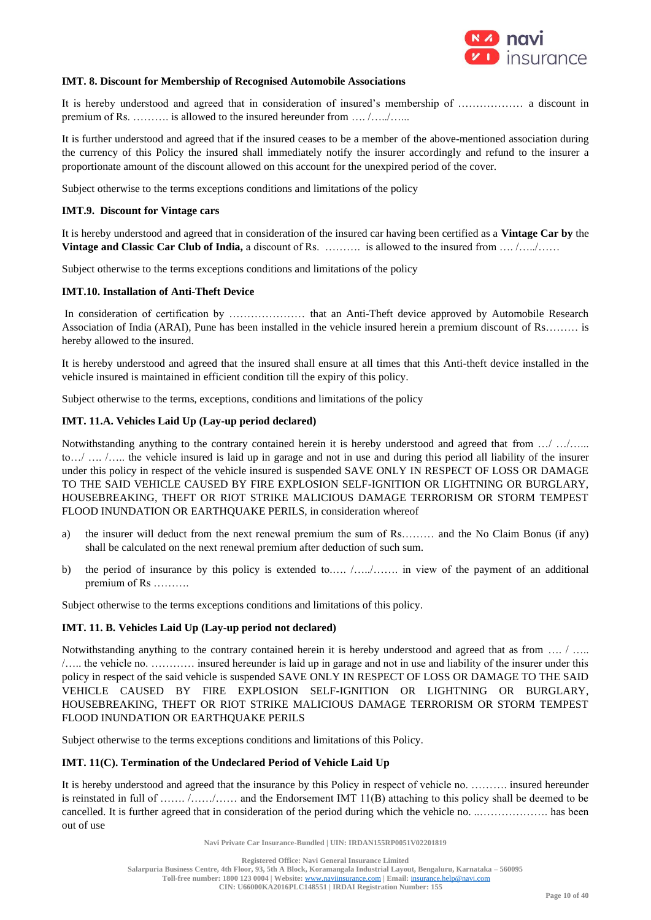

### **IMT. 8. Discount for Membership of Recognised Automobile Associations**

It is hereby understood and agreed that in consideration of insured's membership of ……………… a discount in premium of Rs. ………. is allowed to the insured hereunder from …. /…../…...

It is further understood and agreed that if the insured ceases to be a member of the above-mentioned association during the currency of this Policy the insured shall immediately notify the insurer accordingly and refund to the insurer a proportionate amount of the discount allowed on this account for the unexpired period of the cover.

Subject otherwise to the terms exceptions conditions and limitations of the policy

#### **IMT.9. Discount for Vintage cars**

It is hereby understood and agreed that in consideration of the insured car having been certified as a **Vintage Car by** the **Vintage and Classic Car Club of India,** a discount of Rs. ………. is allowed to the insured from …. /…../……

Subject otherwise to the terms exceptions conditions and limitations of the policy

#### **IMT.10. Installation of Anti-Theft Device**

In consideration of certification by .......................... that an Anti-Theft device approved by Automobile Research Association of India (ARAI), Pune has been installed in the vehicle insured herein a premium discount of Rs……… is hereby allowed to the insured.

It is hereby understood and agreed that the insured shall ensure at all times that this Anti-theft device installed in the vehicle insured is maintained in efficient condition till the expiry of this policy.

Subject otherwise to the terms, exceptions, conditions and limitations of the policy

### **IMT. 11.A. Vehicles Laid Up (Lay-up period declared)**

Notwithstanding anything to the contrary contained herein it is hereby understood and agreed that from .../ .../...... to…/ …. /….. the vehicle insured is laid up in garage and not in use and during this period all liability of the insurer under this policy in respect of the vehicle insured is suspended SAVE ONLY IN RESPECT OF LOSS OR DAMAGE TO THE SAID VEHICLE CAUSED BY FIRE EXPLOSION SELF-IGNITION OR LIGHTNING OR BURGLARY, HOUSEBREAKING, THEFT OR RIOT STRIKE MALICIOUS DAMAGE TERRORISM OR STORM TEMPEST FLOOD INUNDATION OR EARTHQUAKE PERILS, in consideration whereof

- a) the insurer will deduct from the next renewal premium the sum of Rs……… and the No Claim Bonus (if any) shall be calculated on the next renewal premium after deduction of such sum.
- b) the period of insurance by this policy is extended to..... /…........... in view of the payment of an additional premium of Rs ……….

Subject otherwise to the terms exceptions conditions and limitations of this policy.

### **IMT. 11. B. Vehicles Laid Up (Lay-up period not declared)**

Notwithstanding anything to the contrary contained herein it is hereby understood and agreed that as from …. / ….. /….. the vehicle no. ………… insured hereunder is laid up in garage and not in use and liability of the insurer under this policy in respect of the said vehicle is suspended SAVE ONLY IN RESPECT OF LOSS OR DAMAGE TO THE SAID VEHICLE CAUSED BY FIRE EXPLOSION SELF-IGNITION OR LIGHTNING OR BURGLARY, HOUSEBREAKING, THEFT OR RIOT STRIKE MALICIOUS DAMAGE TERRORISM OR STORM TEMPEST FLOOD INUNDATION OR EARTHOUAKE PERILS

Subject otherwise to the terms exceptions conditions and limitations of this Policy.

### **IMT. 11(C). Termination of the Undeclared Period of Vehicle Laid Up**

It is hereby understood and agreed that the insurance by this Policy in respect of vehicle no. ………. insured hereunder is reinstated in full of ……. /……/…… and the Endorsement IMT 11(B) attaching to this policy shall be deemed to be cancelled. It is further agreed that in consideration of the period during which the vehicle no. ..………………. has been out of use

**Navi Private Car Insurance-Bundled | UIN: IRDAN155RP0051V02201819**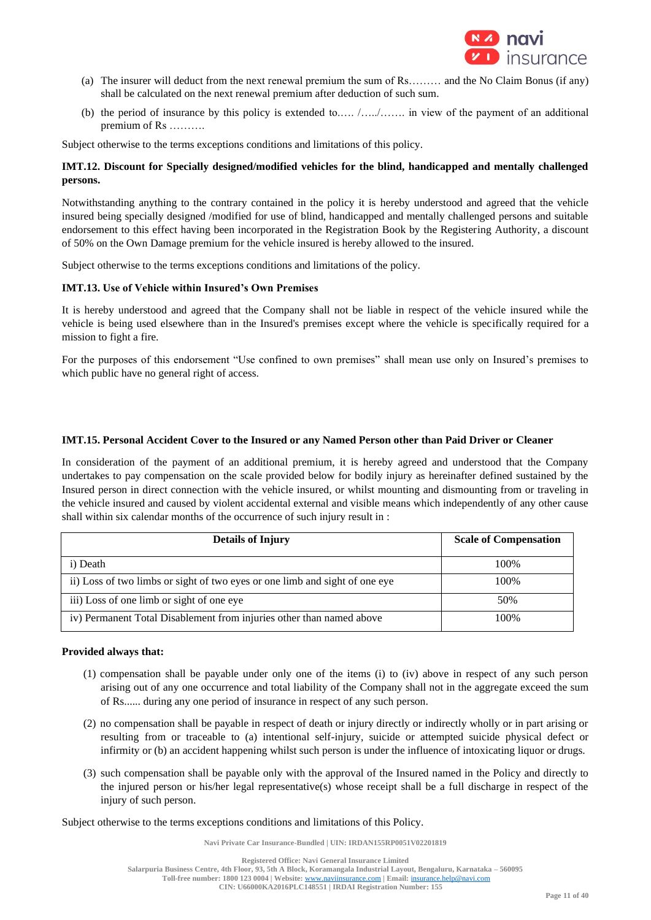

- (a) The insurer will deduct from the next renewal premium the sum of Rs……… and the No Claim Bonus (if any) shall be calculated on the next renewal premium after deduction of such sum.
- (b) the period of insurance by this policy is extended to.…. /…../……. in view of the payment of an additional premium of Rs ……….

Subject otherwise to the terms exceptions conditions and limitations of this policy.

### **IMT.12. Discount for Specially designed/modified vehicles for the blind, handicapped and mentally challenged persons.**

Notwithstanding anything to the contrary contained in the policy it is hereby understood and agreed that the vehicle insured being specially designed /modified for use of blind, handicapped and mentally challenged persons and suitable endorsement to this effect having been incorporated in the Registration Book by the Registering Authority, a discount of 50% on the Own Damage premium for the vehicle insured is hereby allowed to the insured.

Subject otherwise to the terms exceptions conditions and limitations of the policy.

#### **IMT.13. Use of Vehicle within Insured's Own Premises**

It is hereby understood and agreed that the Company shall not be liable in respect of the vehicle insured while the vehicle is being used elsewhere than in the Insured's premises except where the vehicle is specifically required for a mission to fight a fire.

For the purposes of this endorsement "Use confined to own premises" shall mean use only on Insured's premises to which public have no general right of access.

#### **IMT.15. Personal Accident Cover to the Insured or any Named Person other than Paid Driver or Cleaner**

In consideration of the payment of an additional premium, it is hereby agreed and understood that the Company undertakes to pay compensation on the scale provided below for bodily injury as hereinafter defined sustained by the Insured person in direct connection with the vehicle insured, or whilst mounting and dismounting from or traveling in the vehicle insured and caused by violent accidental external and visible means which independently of any other cause shall within six calendar months of the occurrence of such injury result in :

| <b>Details of Injury</b>                                                    | <b>Scale of Compensation</b> |
|-----------------------------------------------------------------------------|------------------------------|
| i) Death                                                                    | 100\%                        |
| ii) Loss of two limbs or sight of two eyes or one limb and sight of one eye | 100%                         |
| iii) Loss of one limb or sight of one eye                                   | 50%                          |
| iv) Permanent Total Disablement from injuries other than named above        | 100%                         |

#### **Provided always that:**

- (1) compensation shall be payable under only one of the items (i) to (iv) above in respect of any such person arising out of any one occurrence and total liability of the Company shall not in the aggregate exceed the sum of Rs...... during any one period of insurance in respect of any such person.
- (2) no compensation shall be payable in respect of death or injury directly or indirectly wholly or in part arising or resulting from or traceable to (a) intentional self-injury, suicide or attempted suicide physical defect or infirmity or (b) an accident happening whilst such person is under the influence of intoxicating liquor or drugs.
- (3) such compensation shall be payable only with the approval of the Insured named in the Policy and directly to the injured person or his/her legal representative(s) whose receipt shall be a full discharge in respect of the injury of such person.

Subject otherwise to the terms exceptions conditions and limitations of this Policy.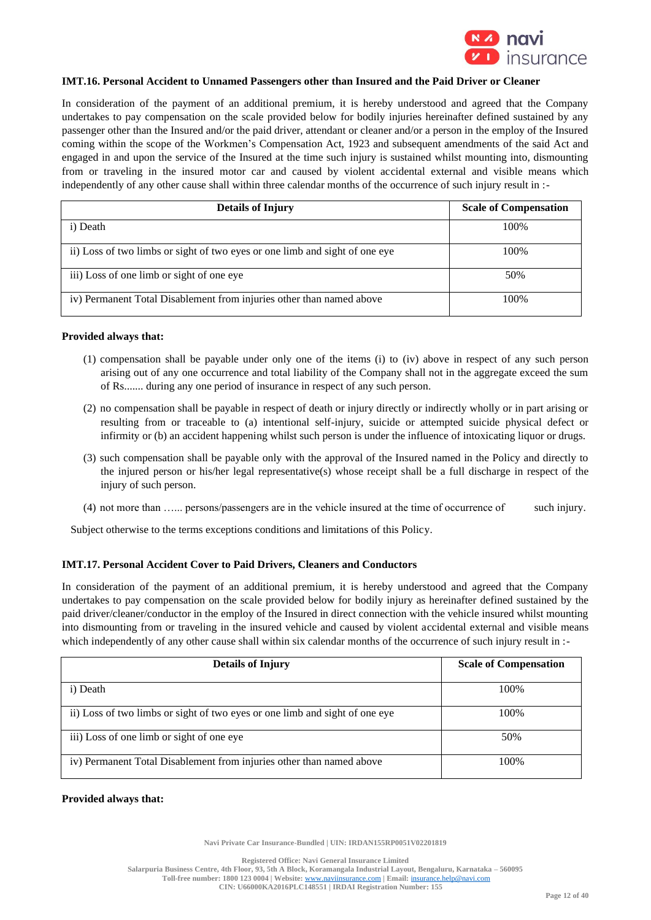

### **IMT.16. Personal Accident to Unnamed Passengers other than Insured and the Paid Driver or Cleaner**

In consideration of the payment of an additional premium, it is hereby understood and agreed that the Company undertakes to pay compensation on the scale provided below for bodily injuries hereinafter defined sustained by any passenger other than the Insured and/or the paid driver, attendant or cleaner and/or a person in the employ of the Insured coming within the scope of the Workmen's Compensation Act, 1923 and subsequent amendments of the said Act and engaged in and upon the service of the Insured at the time such injury is sustained whilst mounting into, dismounting from or traveling in the insured motor car and caused by violent accidental external and visible means which independently of any other cause shall within three calendar months of the occurrence of such injury result in :-

| <b>Details of Injury</b>                                                    | <b>Scale of Compensation</b> |
|-----------------------------------------------------------------------------|------------------------------|
| i) Death                                                                    | 100%                         |
| ii) Loss of two limbs or sight of two eyes or one limb and sight of one eye | 100%                         |
| iii) Loss of one limb or sight of one eye                                   | 50%                          |
| iv) Permanent Total Disablement from injuries other than named above        | 100%                         |

#### **Provided always that:**

- (1) compensation shall be payable under only one of the items (i) to (iv) above in respect of any such person arising out of any one occurrence and total liability of the Company shall not in the aggregate exceed the sum of Rs....... during any one period of insurance in respect of any such person.
- (2) no compensation shall be payable in respect of death or injury directly or indirectly wholly or in part arising or resulting from or traceable to (a) intentional self-injury, suicide or attempted suicide physical defect or infirmity or (b) an accident happening whilst such person is under the influence of intoxicating liquor or drugs.
- (3) such compensation shall be payable only with the approval of the Insured named in the Policy and directly to the injured person or his/her legal representative(s) whose receipt shall be a full discharge in respect of the injury of such person.
- (4) not more than …... persons/passengers are in the vehicle insured at the time of occurrence of such injury.

Subject otherwise to the terms exceptions conditions and limitations of this Policy.

### **IMT.17. Personal Accident Cover to Paid Drivers, Cleaners and Conductors**

In consideration of the payment of an additional premium, it is hereby understood and agreed that the Company undertakes to pay compensation on the scale provided below for bodily injury as hereinafter defined sustained by the paid driver/cleaner/conductor in the employ of the Insured in direct connection with the vehicle insured whilst mounting into dismounting from or traveling in the insured vehicle and caused by violent accidental external and visible means which independently of any other cause shall within six calendar months of the occurrence of such injury result in :-

| <b>Details of Injury</b>                                                    | <b>Scale of Compensation</b> |
|-----------------------------------------------------------------------------|------------------------------|
| i) Death                                                                    | 100%                         |
| ii) Loss of two limbs or sight of two eyes or one limb and sight of one eye | 100\%                        |
| iii) Loss of one limb or sight of one eye                                   | 50%                          |
| iv) Permanent Total Disablement from injuries other than named above        | 100%                         |

#### **Provided always that:**

**Navi Private Car Insurance-Bundled | UIN: IRDAN155RP0051V02201819**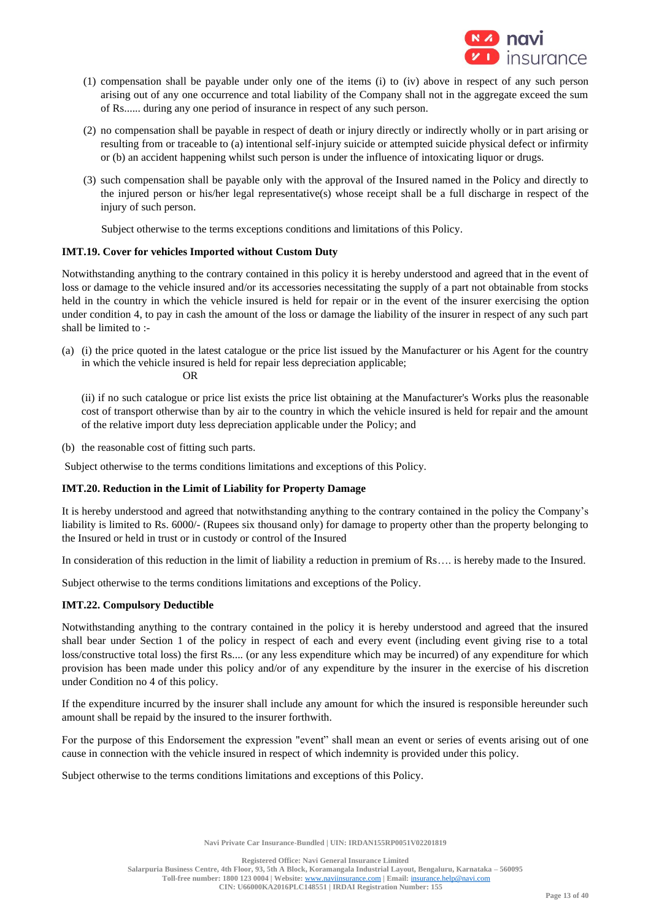

- (1) compensation shall be payable under only one of the items (i) to (iv) above in respect of any such person arising out of any one occurrence and total liability of the Company shall not in the aggregate exceed the sum of Rs...... during any one period of insurance in respect of any such person.
- (2) no compensation shall be payable in respect of death or injury directly or indirectly wholly or in part arising or resulting from or traceable to (a) intentional self-injury suicide or attempted suicide physical defect or infirmity or (b) an accident happening whilst such person is under the influence of intoxicating liquor or drugs.
- (3) such compensation shall be payable only with the approval of the Insured named in the Policy and directly to the injured person or his/her legal representative(s) whose receipt shall be a full discharge in respect of the injury of such person.

Subject otherwise to the terms exceptions conditions and limitations of this Policy.

## **IMT.19. Cover for vehicles Imported without Custom Duty**

Notwithstanding anything to the contrary contained in this policy it is hereby understood and agreed that in the event of loss or damage to the vehicle insured and/or its accessories necessitating the supply of a part not obtainable from stocks held in the country in which the vehicle insured is held for repair or in the event of the insurer exercising the option under condition 4, to pay in cash the amount of the loss or damage the liability of the insurer in respect of any such part shall be limited to :-

(a) (i) the price quoted in the latest catalogue or the price list issued by the Manufacturer or his Agent for the country in which the vehicle insured is held for repair less depreciation applicable; OR

(ii) if no such catalogue or price list exists the price list obtaining at the Manufacturer's Works plus the reasonable cost of transport otherwise than by air to the country in which the vehicle insured is held for repair and the amount of the relative import duty less depreciation applicable under the Policy; and

(b) the reasonable cost of fitting such parts.

Subject otherwise to the terms conditions limitations and exceptions of this Policy.

### **IMT.20. Reduction in the Limit of Liability for Property Damage**

It is hereby understood and agreed that notwithstanding anything to the contrary contained in the policy the Company's liability is limited to Rs. 6000/- (Rupees six thousand only) for damage to property other than the property belonging to the Insured or held in trust or in custody or control of the Insured

In consideration of this reduction in the limit of liability a reduction in premium of Rs…. is hereby made to the Insured.

Subject otherwise to the terms conditions limitations and exceptions of the Policy.

#### **IMT.22. Compulsory Deductible**

Notwithstanding anything to the contrary contained in the policy it is hereby understood and agreed that the insured shall bear under Section 1 of the policy in respect of each and every event (including event giving rise to a total loss/constructive total loss) the first Rs.... (or any less expenditure which may be incurred) of any expenditure for which provision has been made under this policy and/or of any expenditure by the insurer in the exercise of his discretion under Condition no 4 of this policy.

If the expenditure incurred by the insurer shall include any amount for which the insured is responsible hereunder such amount shall be repaid by the insured to the insurer forthwith.

For the purpose of this Endorsement the expression "event" shall mean an event or series of events arising out of one cause in connection with the vehicle insured in respect of which indemnity is provided under this policy.

Subject otherwise to the terms conditions limitations and exceptions of this Policy.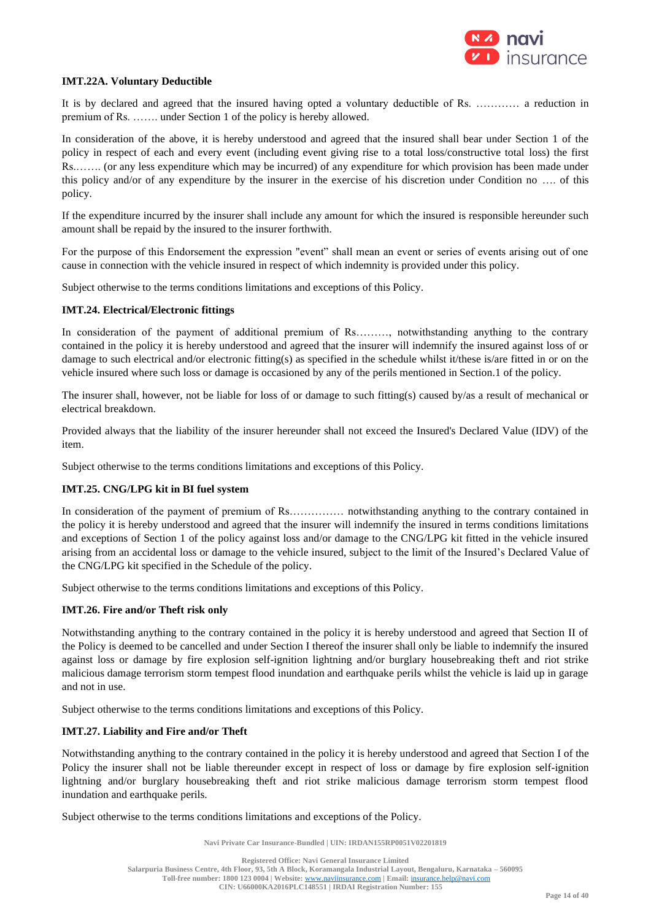

## **IMT.22A. Voluntary Deductible**

It is by declared and agreed that the insured having opted a voluntary deductible of Rs. ………… a reduction in premium of Rs. ……. under Section 1 of the policy is hereby allowed.

In consideration of the above, it is hereby understood and agreed that the insured shall bear under Section 1 of the policy in respect of each and every event (including event giving rise to a total loss/constructive total loss) the first Rs.……. (or any less expenditure which may be incurred) of any expenditure for which provision has been made under this policy and/or of any expenditure by the insurer in the exercise of his discretion under Condition no …. of this policy.

If the expenditure incurred by the insurer shall include any amount for which the insured is responsible hereunder such amount shall be repaid by the insured to the insurer forthwith.

For the purpose of this Endorsement the expression "event" shall mean an event or series of events arising out of one cause in connection with the vehicle insured in respect of which indemnity is provided under this policy.

Subject otherwise to the terms conditions limitations and exceptions of this Policy.

#### **IMT.24. Electrical/Electronic fittings**

In consideration of the payment of additional premium of Rs………, notwithstanding anything to the contrary contained in the policy it is hereby understood and agreed that the insurer will indemnify the insured against loss of or damage to such electrical and/or electronic fitting(s) as specified in the schedule whilst it/these is/are fitted in or on the vehicle insured where such loss or damage is occasioned by any of the perils mentioned in Section.1 of the policy.

The insurer shall, however, not be liable for loss of or damage to such fitting(s) caused by/as a result of mechanical or electrical breakdown.

Provided always that the liability of the insurer hereunder shall not exceed the Insured's Declared Value (IDV) of the item.

Subject otherwise to the terms conditions limitations and exceptions of this Policy.

### **IMT.25. CNG/LPG kit in BI fuel system**

In consideration of the payment of premium of Rs…………… notwithstanding anything to the contrary contained in the policy it is hereby understood and agreed that the insurer will indemnify the insured in terms conditions limitations and exceptions of Section 1 of the policy against loss and/or damage to the CNG/LPG kit fitted in the vehicle insured arising from an accidental loss or damage to the vehicle insured, subject to the limit of the Insured's Declared Value of the CNG/LPG kit specified in the Schedule of the policy.

Subject otherwise to the terms conditions limitations and exceptions of this Policy.

### **IMT.26. Fire and/or Theft risk only**

Notwithstanding anything to the contrary contained in the policy it is hereby understood and agreed that Section II of the Policy is deemed to be cancelled and under Section I thereof the insurer shall only be liable to indemnify the insured against loss or damage by fire explosion self-ignition lightning and/or burglary housebreaking theft and riot strike malicious damage terrorism storm tempest flood inundation and earthquake perils whilst the vehicle is laid up in garage and not in use.

Subject otherwise to the terms conditions limitations and exceptions of this Policy.

#### **IMT.27. Liability and Fire and/or Theft**

Notwithstanding anything to the contrary contained in the policy it is hereby understood and agreed that Section I of the Policy the insurer shall not be liable thereunder except in respect of loss or damage by fire explosion self-ignition lightning and/or burglary housebreaking theft and riot strike malicious damage terrorism storm tempest flood inundation and earthquake perils.

Subject otherwise to the terms conditions limitations and exceptions of the Policy.

**Navi Private Car Insurance-Bundled | UIN: IRDAN155RP0051V02201819**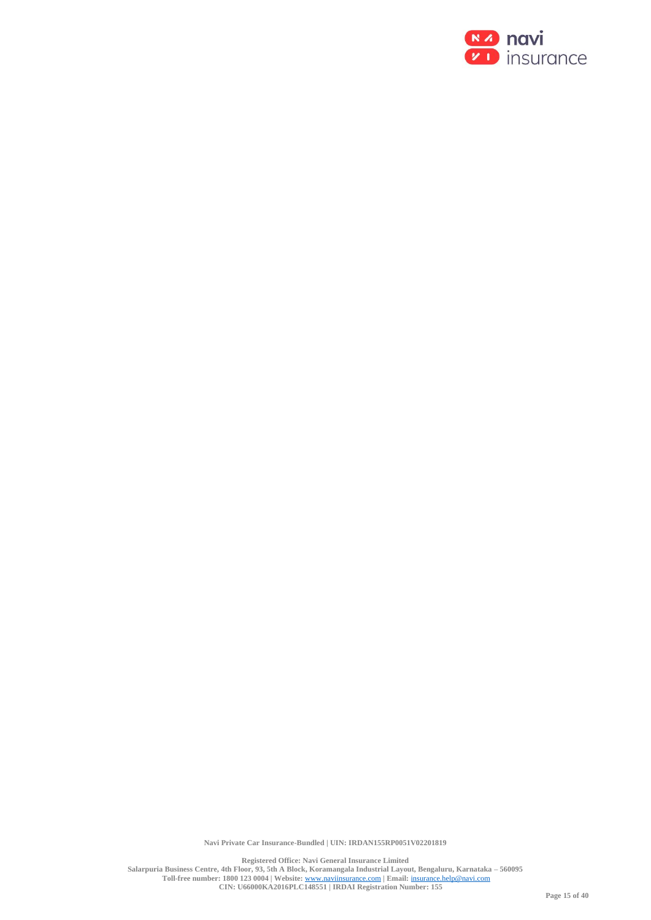

**Navi Private Car Insurance-Bundled | UIN: IRDAN155RP0051V02201819**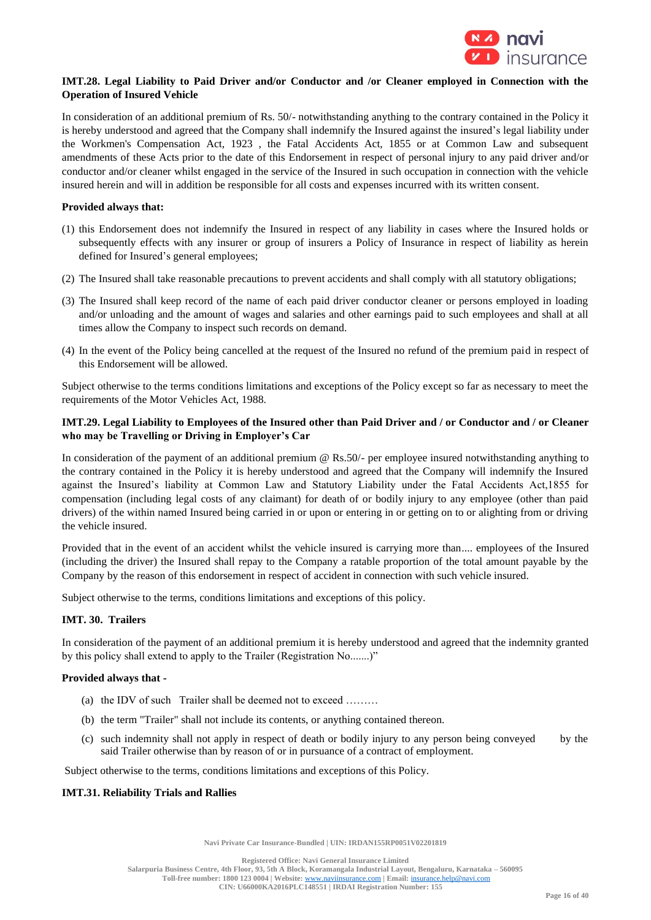

## **IMT.28. Legal Liability to Paid Driver and/or Conductor and /or Cleaner employed in Connection with the Operation of Insured Vehicle**

In consideration of an additional premium of Rs. 50/- notwithstanding anything to the contrary contained in the Policy it is hereby understood and agreed that the Company shall indemnify the Insured against the insured's legal liability under the Workmen's Compensation Act, 1923 , the Fatal Accidents Act, 1855 or at Common Law and subsequent amendments of these Acts prior to the date of this Endorsement in respect of personal injury to any paid driver and/or conductor and/or cleaner whilst engaged in the service of the Insured in such occupation in connection with the vehicle insured herein and will in addition be responsible for all costs and expenses incurred with its written consent.

#### **Provided always that:**

- (1) this Endorsement does not indemnify the Insured in respect of any liability in cases where the Insured holds or subsequently effects with any insurer or group of insurers a Policy of Insurance in respect of liability as herein defined for Insured's general employees;
- (2) The Insured shall take reasonable precautions to prevent accidents and shall comply with all statutory obligations;
- (3) The Insured shall keep record of the name of each paid driver conductor cleaner or persons employed in loading and/or unloading and the amount of wages and salaries and other earnings paid to such employees and shall at all times allow the Company to inspect such records on demand.
- (4) In the event of the Policy being cancelled at the request of the Insured no refund of the premium paid in respect of this Endorsement will be allowed.

Subject otherwise to the terms conditions limitations and exceptions of the Policy except so far as necessary to meet the requirements of the Motor Vehicles Act, 1988.

### **IMT.29. Legal Liability to Employees of the Insured other than Paid Driver and / or Conductor and / or Cleaner who may be Travelling or Driving in Employer's Car**

In consideration of the payment of an additional premium @ Rs.50/- per employee insured notwithstanding anything to the contrary contained in the Policy it is hereby understood and agreed that the Company will indemnify the Insured against the Insured's liability at Common Law and Statutory Liability under the Fatal Accidents Act,1855 for compensation (including legal costs of any claimant) for death of or bodily injury to any employee (other than paid drivers) of the within named Insured being carried in or upon or entering in or getting on to or alighting from or driving the vehicle insured.

Provided that in the event of an accident whilst the vehicle insured is carrying more than.... employees of the Insured (including the driver) the Insured shall repay to the Company a ratable proportion of the total amount payable by the Company by the reason of this endorsement in respect of accident in connection with such vehicle insured.

Subject otherwise to the terms, conditions limitations and exceptions of this policy.

#### **IMT. 30. Trailers**

In consideration of the payment of an additional premium it is hereby understood and agreed that the indemnity granted by this policy shall extend to apply to the Trailer (Registration No.......)"

#### **Provided always that -**

- (a) the IDV of such Trailer shall be deemed not to exceed ........
- (b) the term "Trailer" shall not include its contents, or anything contained thereon.
- (c) such indemnity shall not apply in respect of death or bodily injury to any person being conveyed by the said Trailer otherwise than by reason of or in pursuance of a contract of employment.

Subject otherwise to the terms, conditions limitations and exceptions of this Policy.

### **IMT.31. Reliability Trials and Rallies**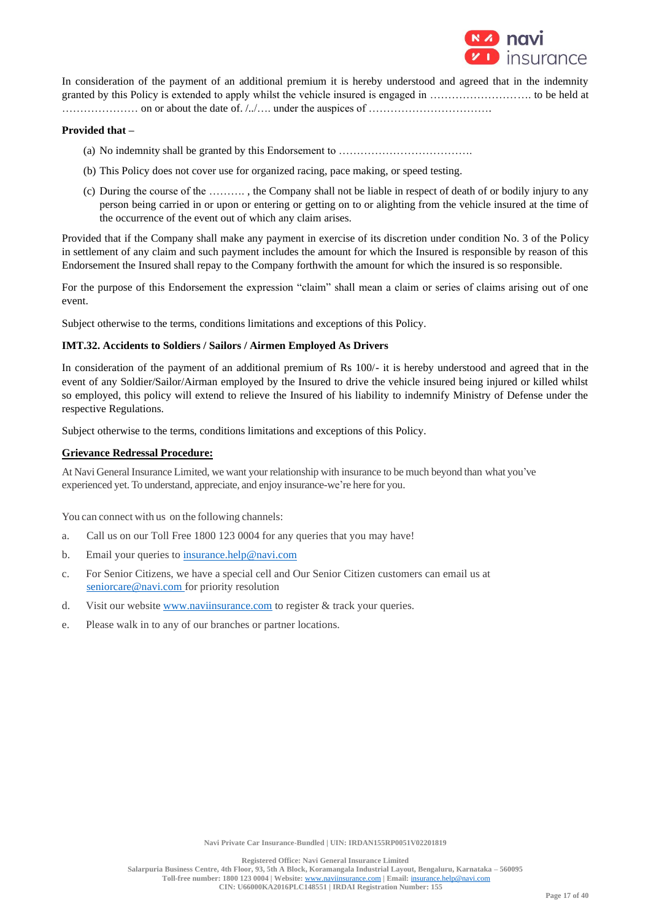

In consideration of the payment of an additional premium it is hereby understood and agreed that in the indemnity granted by this Policy is extended to apply whilst the vehicle insured is engaged in ………………………. to be held at ………………… on or about the date of. /../…. under the auspices of …………………………….

#### **Provided that –**

- (a) No indemnity shall be granted by this Endorsement to ……………………………….
- (b) This Policy does not cover use for organized racing, pace making, or speed testing.
- (c) During the course of the ………. , the Company shall not be liable in respect of death of or bodily injury to any person being carried in or upon or entering or getting on to or alighting from the vehicle insured at the time of the occurrence of the event out of which any claim arises.

Provided that if the Company shall make any payment in exercise of its discretion under condition No. 3 of the Policy in settlement of any claim and such payment includes the amount for which the Insured is responsible by reason of this Endorsement the Insured shall repay to the Company forthwith the amount for which the insured is so responsible.

For the purpose of this Endorsement the expression "claim" shall mean a claim or series of claims arising out of one event.

Subject otherwise to the terms, conditions limitations and exceptions of this Policy.

#### **IMT.32. Accidents to Soldiers / Sailors / Airmen Employed As Drivers**

In consideration of the payment of an additional premium of Rs 100/- it is hereby understood and agreed that in the event of any Soldier/Sailor/Airman employed by the Insured to drive the vehicle insured being injured or killed whilst so employed, this policy will extend to relieve the Insured of his liability to indemnify Ministry of Defense under the respective Regulations.

Subject otherwise to the terms, conditions limitations and exceptions of this Policy.

### **Grievance Redressal Procedure:**

At Navi General Insurance Limited, we want your relationship with insurance to be much beyond than what you've experienced yet. To understand, appreciate, and enjoy insurance-we're here for you.

You can connect with us on the following channels:

- a. Call us on our Toll Free 1800 123 0004 for any queries that you may have!
- b. Email your queries to [insurance.help@navi.com](mailto:insurance.help@navi.com)
- c. For Senior Citizens, we have a special cell and Our Senior Citizen customers can email us at [seniorcare@navi.com](mailto:insurance.help@navi.com) for priority resolution
- d. Visit our website [www.naviinsurance.com](http://www.naviinsurance.com/) to register & track your queries.
- e. Please walk in to any of our branches or partner locations.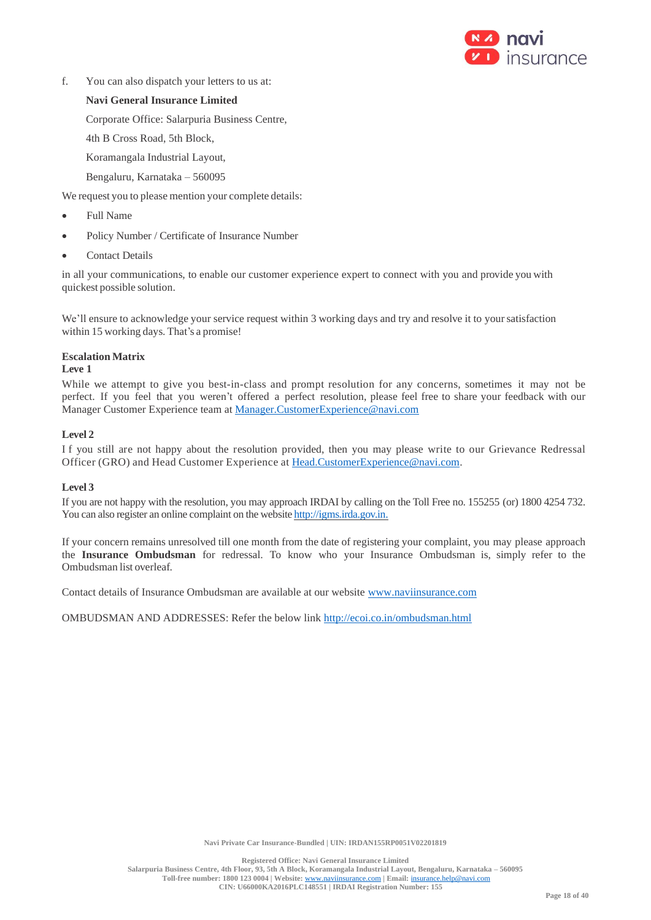

f. You can also dispatch your letters to us at:

## **Navi General Insurance Limited**

Corporate Office: Salarpuria Business Centre,

4th B Cross Road, 5th Block,

Koramangala Industrial Layout,

Bengaluru, Karnataka – 560095

We request you to please mention your complete details:

- Full Name
- Policy Number / Certificate of Insurance Number
- Contact Details

in all your communications, to enable our customer experience expert to connect with you and provide you with quickest possible solution.

We'll ensure to acknowledge your service request within 3 working days and try and resolve it to your satisfaction within 15 working days. That's a promise!

### **Escalation Matrix**

### **Leve 1**

While we attempt to give you best-in-class and prompt resolution for any concerns, sometimes it may not be perfect. If you feel that you weren't offered a perfect resolution, please feel free to share your feedback with our Manager Customer Experience team at Manager.CustomerExperience@navi.com

## **Level 2**

I f you still are not happy about the resolution provided, then you may please write to our Grievance Redressal Officer (GRO) and Head Customer Experience at [Head.CustomerExperience@navi.com.](mailto:Head.CustomerExperience@cocogeneralinsurance.com)

### **Level 3**

If you are not happy with the resolution, you may approach IRDAI by calling on the Toll Free no. 155255 (or) 1800 4254 732. You can also register an online complaint on the website [http://igms.irda.gov.in.](http://igms.irda.gov.in/)

If your concern remains unresolved till one month from the date of registering your complaint, you may please approach the **Insurance Ombudsman** for redressal. To know who your Insurance Ombudsman is, simply refer to the Ombudsman list overleaf.

Contact details of Insurance Ombudsman are available at our website [www.naviinsurance.com](http://www.naviinsurance.com/)

OMBUDSMAN AND ADDRESSES: Refer the below link<http://ecoi.co.in/ombudsman.html>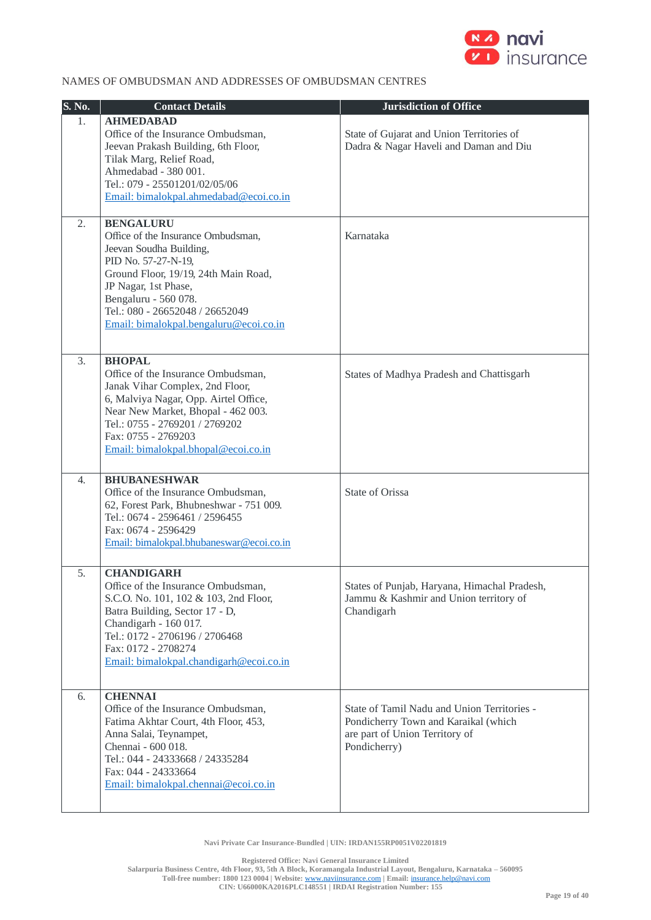

## NAMES OF OMBUDSMAN AND ADDRESSES OF OMBUDSMAN CENTRES

| S. No. | <b>Contact Details</b>                                                                                                                                                                                                                                                        | <b>Jurisdiction of Office</b>                                                                                                         |
|--------|-------------------------------------------------------------------------------------------------------------------------------------------------------------------------------------------------------------------------------------------------------------------------------|---------------------------------------------------------------------------------------------------------------------------------------|
| 1.     | <b>AHMEDABAD</b><br>Office of the Insurance Ombudsman,<br>Jeevan Prakash Building, 6th Floor,<br>Tilak Marg, Relief Road,<br>Ahmedabad - 380 001.<br>Tel.: 079 - 25501201/02/05/06<br>Email: bimalokpal.ahmedabad@ecoi.co.in                                                  | State of Gujarat and Union Territories of<br>Dadra & Nagar Haveli and Daman and Diu                                                   |
| 2.     | <b>BENGALURU</b><br>Office of the Insurance Ombudsman,<br>Jeevan Soudha Building,<br>PID No. 57-27-N-19,<br>Ground Floor, 19/19, 24th Main Road,<br>JP Nagar, 1st Phase,<br>Bengaluru - 560 078.<br>Tel.: 080 - 26652048 / 26652049<br>Email: bimalokpal.bengaluru@ecoi.co.in | Karnataka                                                                                                                             |
| 3.     | <b>BHOPAL</b><br>Office of the Insurance Ombudsman,<br>Janak Vihar Complex, 2nd Floor,<br>6, Malviya Nagar, Opp. Airtel Office,<br>Near New Market, Bhopal - 462 003.<br>Tel.: 0755 - 2769201 / 2769202<br>Fax: 0755 - 2769203<br>Email: bimalokpal.bhopal@ecoi.co.in         | States of Madhya Pradesh and Chattisgarh                                                                                              |
| 4.     | <b>BHUBANESHWAR</b><br>Office of the Insurance Ombudsman,<br>62, Forest Park, Bhubneshwar - 751 009.<br>Tel.: 0674 - 2596461 / 2596455<br>Fax: 0674 - 2596429<br>Email: bimalokpal.bhubaneswar@ecoi.co.in                                                                     | <b>State of Orissa</b>                                                                                                                |
| 5.     | <b>CHANDIGARH</b><br>Office of the Insurance Ombudsman,<br>S.C.O. No. 101, 102 & 103, 2nd Floor,<br>Batra Building, Sector 17 - D,<br>Chandigarh - 160 017.<br>Tel.: 0172 - 2706196 / 2706468<br>Fax: 0172 - 2708274<br>Email: bimalokpal.chandigarh@ecoi.co.in               | States of Punjab, Haryana, Himachal Pradesh,<br>Jammu & Kashmir and Union territory of<br>Chandigarh                                  |
| 6.     | <b>CHENNAI</b><br>Office of the Insurance Ombudsman,<br>Fatima Akhtar Court, 4th Floor, 453,<br>Anna Salai, Teynampet,<br>Chennai - 600 018.<br>Tel.: 044 - 24333668 / 24335284<br>Fax: 044 - 24333664<br>Email: bimalokpal.chennai@ecoi.co.in                                | State of Tamil Nadu and Union Territories -<br>Pondicherry Town and Karaikal (which<br>are part of Union Territory of<br>Pondicherry) |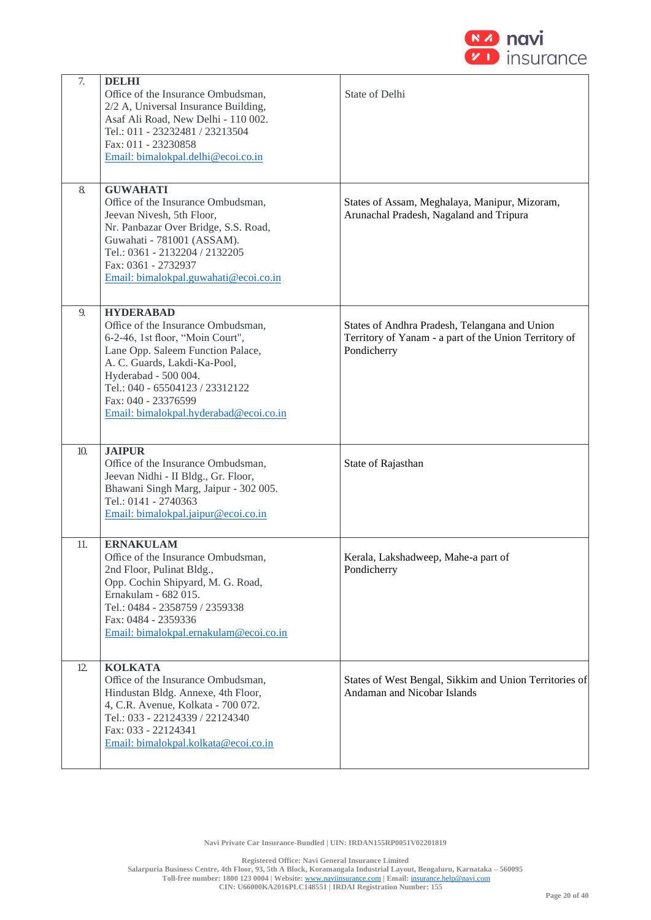

| 7.  | <b>DELHI</b>                                                                                                                                                                                                                                                                                |                                                                                                                       |
|-----|---------------------------------------------------------------------------------------------------------------------------------------------------------------------------------------------------------------------------------------------------------------------------------------------|-----------------------------------------------------------------------------------------------------------------------|
|     | Office of the Insurance Ombudsman,<br>2/2 A, Universal Insurance Building,<br>Asaf Ali Road, New Delhi - 110 002.<br>Tel.: 011 - 23232481 / 23213504<br>Fax: 011 - 23230858<br>Email: bimalokpal.delhi@ecoi.co.in                                                                           | State of Delhi                                                                                                        |
| 8.  | <b>GUWAHATI</b><br>Office of the Insurance Ombudsman,<br>Jeevan Nivesh, 5th Floor,<br>Nr. Panbazar Over Bridge, S.S. Road,<br>Guwahati - 781001 (ASSAM).<br>Tel.: 0361 - 2132204 / 2132205<br>Fax: 0361 - 2732937<br>Email: bimalokpal.guwahati@ecoi.co.in                                  | States of Assam, Meghalaya, Manipur, Mizoram,<br>Arunachal Pradesh, Nagaland and Tripura                              |
| 9.  | <b>HYDERABAD</b><br>Office of the Insurance Ombudsman,<br>6-2-46, 1st floor, "Moin Court",<br>Lane Opp. Saleem Function Palace,<br>A. C. Guards, Lakdi-Ka-Pool,<br>Hyderabad - 500 004.<br>Tel.: 040 - 65504123 / 23312122<br>Fax: 040 - 23376599<br>Email: bimalokpal.hyderabad@ecoi.co.in | States of Andhra Pradesh, Telangana and Union<br>Territory of Yanam - a part of the Union Territory of<br>Pondicherry |
| 10. | <b>JAIPUR</b><br>Office of the Insurance Ombudsman,<br>Jeevan Nidhi - II Bldg., Gr. Floor,<br>Bhawani Singh Marg, Jaipur - 302 005.<br>Tel.: 0141 - 2740363<br>Email: bimalokpal.jaipur@ecoi.co.in                                                                                          | State of Rajasthan                                                                                                    |
| 11. | <b>ERNAKULAM</b><br>Office of the Insurance Ombudsman,<br>2nd Floor, Pulinat Bldg.,<br>Opp. Cochin Shipyard, M. G. Road,<br>Ernakulam - 682 015.<br>Tel.: 0484 - 2358759 / 2359338<br>Fax: 0484 - 2359336<br>Email: bimalokpal.ernakulam@ecoi.co.in                                         | Kerala, Lakshadweep, Mahe-a part of<br>Pondicherry                                                                    |
| 12. | <b>KOLKATA</b><br>Office of the Insurance Ombudsman,<br>Hindustan Bldg. Annexe, 4th Floor,<br>4, C.R. Avenue, Kolkata - 700 072.<br>Tel.: 033 - 22124339 / 22124340<br>Fax: 033 - 22124341<br>Email: bimalokpal.kolkata@ecoi.co.in                                                          | States of West Bengal, Sikkim and Union Territories of<br>Andaman and Nicobar Islands                                 |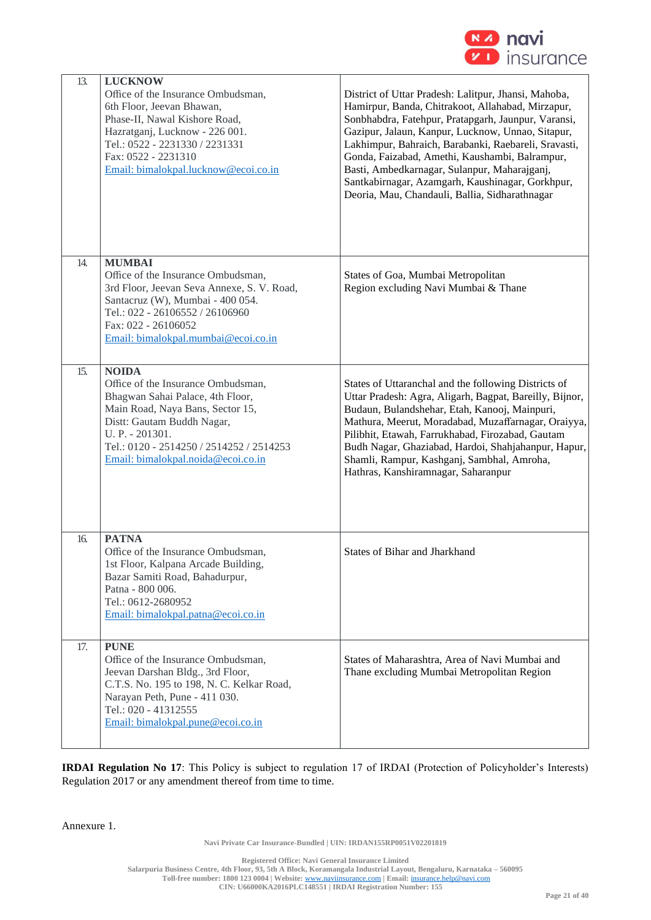

| 13. | <b>LUCKNOW</b><br>Office of the Insurance Ombudsman,<br>6th Floor, Jeevan Bhawan,<br>Phase-II, Nawal Kishore Road,<br>Hazratganj, Lucknow - 226 001.<br>Tel.: 0522 - 2231330 / 2231331<br>Fax: 0522 - 2231310<br>Email: bimalokpal.lucknow@ecoi.co.in        | District of Uttar Pradesh: Lalitpur, Jhansi, Mahoba,<br>Hamirpur, Banda, Chitrakoot, Allahabad, Mirzapur,<br>Sonbhabdra, Fatehpur, Pratapgarh, Jaunpur, Varansi,<br>Gazipur, Jalaun, Kanpur, Lucknow, Unnao, Sitapur,<br>Lakhimpur, Bahraich, Barabanki, Raebareli, Sravasti,<br>Gonda, Faizabad, Amethi, Kaushambi, Balrampur,<br>Basti, Ambedkarnagar, Sulanpur, Maharajganj,<br>Santkabirnagar, Azamgarh, Kaushinagar, Gorkhpur,<br>Deoria, Mau, Chandauli, Ballia, Sidharathnagar |
|-----|--------------------------------------------------------------------------------------------------------------------------------------------------------------------------------------------------------------------------------------------------------------|---------------------------------------------------------------------------------------------------------------------------------------------------------------------------------------------------------------------------------------------------------------------------------------------------------------------------------------------------------------------------------------------------------------------------------------------------------------------------------------|
| 14. | <b>MUMBAI</b><br>Office of the Insurance Ombudsman,<br>3rd Floor, Jeevan Seva Annexe, S. V. Road,<br>Santacruz (W), Mumbai - 400 054.<br>Tel.: 022 - 26106552 / 26106960<br>Fax: 022 - 26106052<br>Email: bimalokpal.mumbai@ecoi.co.in                       | States of Goa, Mumbai Metropolitan<br>Region excluding Navi Mumbai & Thane                                                                                                                                                                                                                                                                                                                                                                                                            |
| 15. | <b>NOIDA</b><br>Office of the Insurance Ombudsman,<br>Bhagwan Sahai Palace, 4th Floor,<br>Main Road, Naya Bans, Sector 15,<br>Distt: Gautam Buddh Nagar,<br>U.P. - 201301.<br>Tel.: 0120 - 2514250 / 2514252 / 2514253<br>Email: bimalokpal.noida@ecoi.co.in | States of Uttaranchal and the following Districts of<br>Uttar Pradesh: Agra, Aligarh, Bagpat, Bareilly, Bijnor,<br>Budaun, Bulandshehar, Etah, Kanooj, Mainpuri,<br>Mathura, Meerut, Moradabad, Muzaffarnagar, Oraiyya,<br>Pilibhit, Etawah, Farrukhabad, Firozabad, Gautam<br>Budh Nagar, Ghaziabad, Hardoi, Shahjahanpur, Hapur,<br>Shamli, Rampur, Kashganj, Sambhal, Amroha,<br>Hathras, Kanshiramnagar, Saharanpur                                                               |
| 16. | <b>PATNA</b><br>Office of the Insurance Ombudsman,<br>1st Floor, Kalpana Arcade Building,<br>Bazar Samiti Road, Bahadurpur,<br>Patna - 800 006.<br>Tel.: 0612-2680952<br>Email: bimalokpal.patna@ecoi.co.in                                                  | States of Bihar and Jharkhand                                                                                                                                                                                                                                                                                                                                                                                                                                                         |
| 17. | <b>PUNE</b><br>Office of the Insurance Ombudsman,<br>Jeevan Darshan Bldg., 3rd Floor,<br>C.T.S. No. 195 to 198, N. C. Kelkar Road,<br>Narayan Peth, Pune - 411 030.<br>Tel.: 020 - 41312555<br>Email: bimalokpal.pune@ecoi.co.in                             | States of Maharashtra, Area of Navi Mumbai and<br>Thane excluding Mumbai Metropolitan Region                                                                                                                                                                                                                                                                                                                                                                                          |

**IRDAI Regulation No 17**: This Policy is subject to regulation 17 of IRDAI (Protection of Policyholder's Interests) Regulation 2017 or any amendment thereof from time to time.

Annexure 1.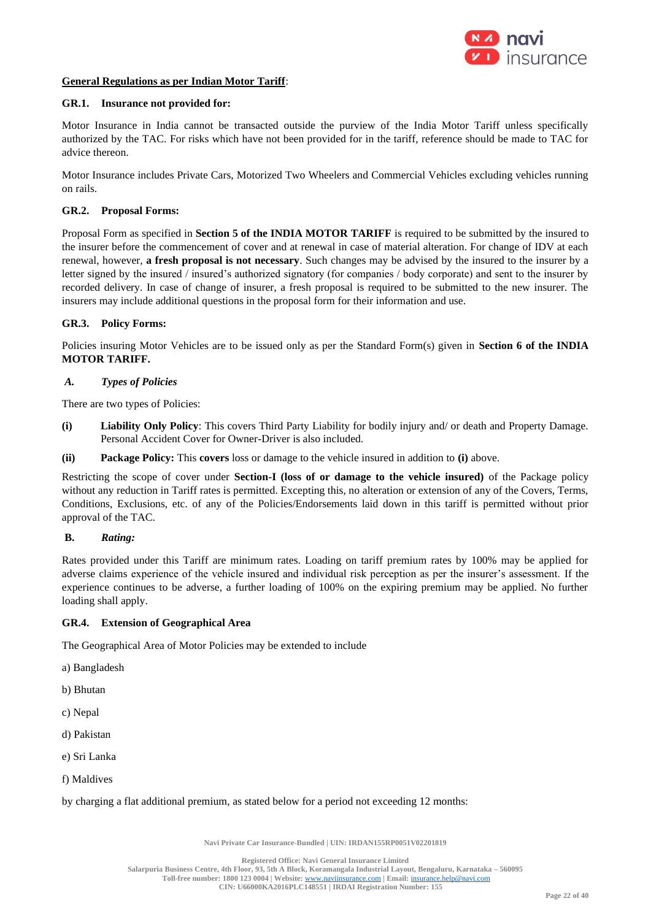

#### **General Regulations as per Indian Motor Tariff**:

#### **GR.1. Insurance not provided for:**

Motor Insurance in India cannot be transacted outside the purview of the India Motor Tariff unless specifically authorized by the TAC. For risks which have not been provided for in the tariff, reference should be made to TAC for advice thereon.

Motor Insurance includes Private Cars, Motorized Two Wheelers and Commercial Vehicles excluding vehicles running on rails.

#### **GR.2. Proposal Forms:**

Proposal Form as specified in **Section 5 of the INDIA MOTOR TARIFF** is required to be submitted by the insured to the insurer before the commencement of cover and at renewal in case of material alteration. For change of IDV at each renewal, however, **a fresh proposal is not necessary**. Such changes may be advised by the insured to the insurer by a letter signed by the insured / insured's authorized signatory (for companies / body corporate) and sent to the insurer by recorded delivery. In case of change of insurer, a fresh proposal is required to be submitted to the new insurer. The insurers may include additional questions in the proposal form for their information and use.

#### **GR.3. Policy Forms:**

Policies insuring Motor Vehicles are to be issued only as per the Standard Form(s) given in **Section 6 of the INDIA MOTOR TARIFF.**

### *A. Types of Policies*

There are two types of Policies:

- **(i) Liability Only Policy**: This covers Third Party Liability for bodily injury and/ or death and Property Damage. Personal Accident Cover for Owner-Driver is also included.
- **(ii) Package Policy:** This **covers** loss or damage to the vehicle insured in addition to **(i)** above.

Restricting the scope of cover under **Section-I (loss of or damage to the vehicle insured)** of the Package policy without any reduction in Tariff rates is permitted. Excepting this, no alteration or extension of any of the Covers, Terms, Conditions, Exclusions, etc. of any of the Policies/Endorsements laid down in this tariff is permitted without prior approval of the TAC.

#### **B.** *Rating:*

Rates provided under this Tariff are minimum rates. Loading on tariff premium rates by 100% may be applied for adverse claims experience of the vehicle insured and individual risk perception as per the insurer's assessment. If the experience continues to be adverse, a further loading of 100% on the expiring premium may be applied. No further loading shall apply.

### **GR.4. Extension of Geographical Area**

The Geographical Area of Motor Policies may be extended to include

- a) Bangladesh
- b) Bhutan
- c) Nepal
- d) Pakistan
- e) Sri Lanka
- f) Maldives

by charging a flat additional premium, as stated below for a period not exceeding 12 months: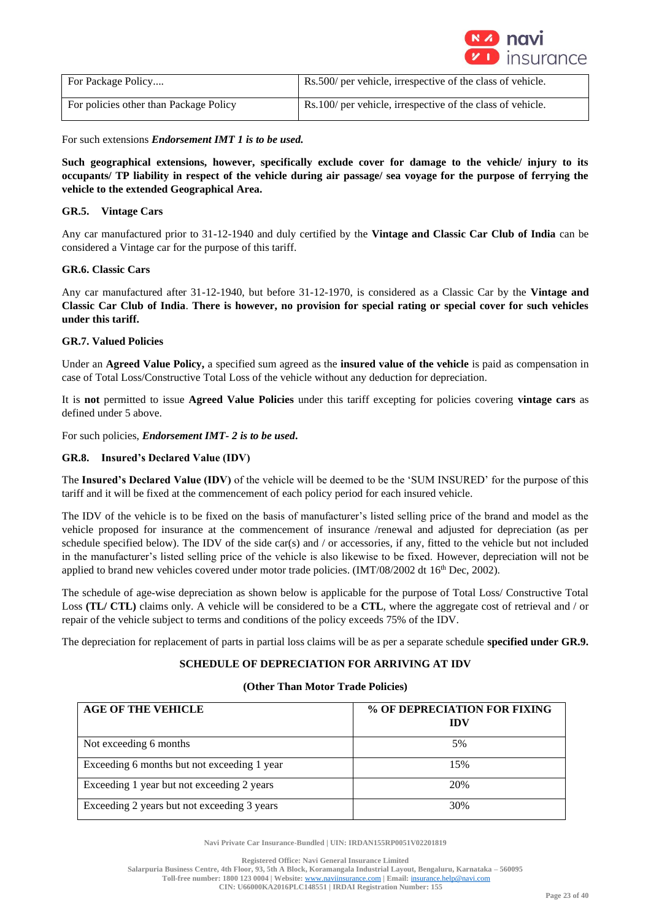

| For Package Policy                     | Rs.500/ per vehicle, irrespective of the class of vehicle. |
|----------------------------------------|------------------------------------------------------------|
| For policies other than Package Policy | Rs.100/ per vehicle, irrespective of the class of vehicle. |

For such extensions *Endorsement IMT 1 is to be used.*

**Such geographical extensions, however, specifically exclude cover for damage to the vehicle/ injury to its occupants/ TP liability in respect of the vehicle during air passage/ sea voyage for the purpose of ferrying the vehicle to the extended Geographical Area.** 

### **GR.5. Vintage Cars**

Any car manufactured prior to 31-12-1940 and duly certified by the **Vintage and Classic Car Club of India** can be considered a Vintage car for the purpose of this tariff.

#### **GR.6. Classic Cars**

Any car manufactured after 31-12-1940, but before 31-12-1970, is considered as a Classic Car by the **Vintage and Classic Car Club of India**. **There is however, no provision for special rating or special cover for such vehicles under this tariff.**

#### **GR.7. Valued Policies**

Under an **Agreed Value Policy,** a specified sum agreed as the **insured value of the vehicle** is paid as compensation in case of Total Loss/Constructive Total Loss of the vehicle without any deduction for depreciation.

It is **not** permitted to issue **Agreed Value Policies** under this tariff excepting for policies covering **vintage cars** as defined under 5 above.

For such policies, *Endorsement IMT- 2 is to be used***.**

#### **GR.8. Insured's Declared Value (IDV)**

The **Insured's Declared Value (IDV)** of the vehicle will be deemed to be the 'SUM INSURED' for the purpose of this tariff and it will be fixed at the commencement of each policy period for each insured vehicle.

The IDV of the vehicle is to be fixed on the basis of manufacturer's listed selling price of the brand and model as the vehicle proposed for insurance at the commencement of insurance /renewal and adjusted for depreciation (as per schedule specified below). The IDV of the side car(s) and / or accessories, if any, fitted to the vehicle but not included in the manufacturer's listed selling price of the vehicle is also likewise to be fixed. However, depreciation will not be applied to brand new vehicles covered under motor trade policies. (IMT/08/2002 dt  $16<sup>th</sup>$  Dec, 2002).

The schedule of age-wise depreciation as shown below is applicable for the purpose of Total Loss/ Constructive Total Loss **(TL/ CTL)** claims only. A vehicle will be considered to be a **CTL**, where the aggregate cost of retrieval and / or repair of the vehicle subject to terms and conditions of the policy exceeds 75% of the IDV.

The depreciation for replacement of parts in partial loss claims will be as per a separate schedule **specified under GR.9.** 

### **SCHEDULE OF DEPRECIATION FOR ARRIVING AT IDV**

#### **(Other Than Motor Trade Policies)**

| <b>AGE OF THE VEHICLE</b>                   | % OF DEPRECIATION FOR FIXING<br><b>IDV</b> |
|---------------------------------------------|--------------------------------------------|
| Not exceeding 6 months                      | 5%                                         |
| Exceeding 6 months but not exceeding 1 year | 15%                                        |
| Exceeding 1 year but not exceeding 2 years  | 20%                                        |
| Exceeding 2 years but not exceeding 3 years | 30%                                        |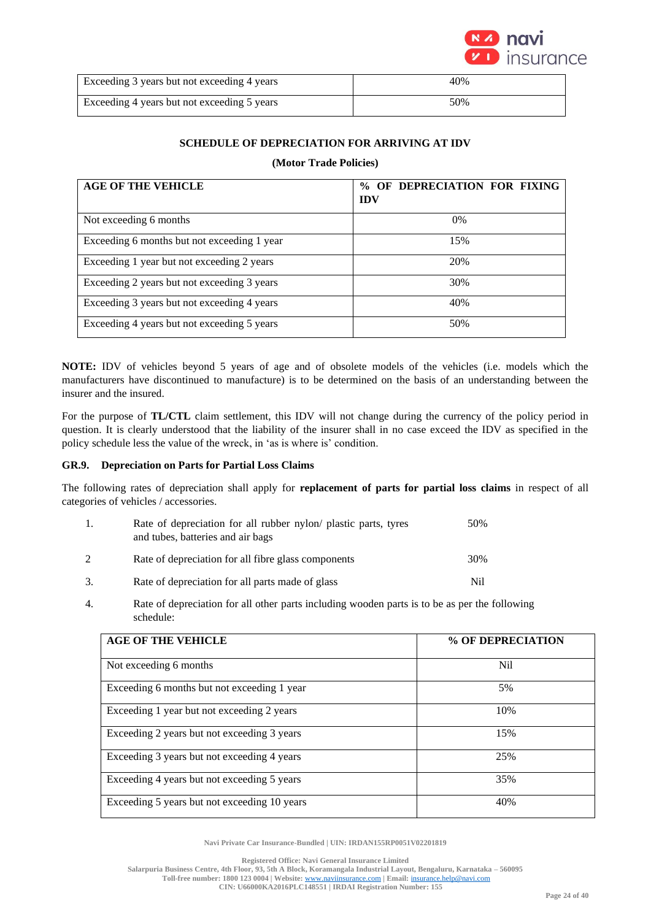

| Exceeding 3 years but not exceeding 4 years | 40% |
|---------------------------------------------|-----|
| Exceeding 4 years but not exceeding 5 years | 50% |

## **SCHEDULE OF DEPRECIATION FOR ARRIVING AT IDV**

### **(Motor Trade Policies)**

| <b>AGE OF THE VEHICLE</b>                   | % OF DEPRECIATION FOR FIXING<br><b>IDV</b> |
|---------------------------------------------|--------------------------------------------|
| Not exceeding 6 months                      | $0\%$                                      |
| Exceeding 6 months but not exceeding 1 year | 15%                                        |
| Exceeding 1 year but not exceeding 2 years  | 20%                                        |
| Exceeding 2 years but not exceeding 3 years | 30%                                        |
| Exceeding 3 years but not exceeding 4 years | 40%                                        |
| Exceeding 4 years but not exceeding 5 years | 50%                                        |

**NOTE:** IDV of vehicles beyond 5 years of age and of obsolete models of the vehicles (i.e. models which the manufacturers have discontinued to manufacture) is to be determined on the basis of an understanding between the insurer and the insured.

For the purpose of **TL/CTL** claim settlement, this IDV will not change during the currency of the policy period in question. It is clearly understood that the liability of the insurer shall in no case exceed the IDV as specified in the policy schedule less the value of the wreck, in 'as is where is' condition.

#### **GR.9. Depreciation on Parts for Partial Loss Claims**

The following rates of depreciation shall apply for **replacement of parts for partial loss claims** in respect of all categories of vehicles / accessories.

| Rate of depreciation for all rubber nylon/ plastic parts, tyres<br>and tubes, batteries and air bags | 50% |
|------------------------------------------------------------------------------------------------------|-----|
| Rate of depreciation for all fibre glass components                                                  | 30% |
| Rate of depreciation for all parts made of glass                                                     | Nil |

4. Rate of depreciation for all other parts including wooden parts is to be as per the following schedule:

| <b>AGE OF THE VEHICLE</b>                    | % OF DEPRECIATION |
|----------------------------------------------|-------------------|
| Not exceeding 6 months                       | Nil               |
| Exceeding 6 months but not exceeding 1 year  | 5%                |
| Exceeding 1 year but not exceeding 2 years   | 10%               |
| Exceeding 2 years but not exceeding 3 years  | 15%               |
| Exceeding 3 years but not exceeding 4 years  | 25%               |
| Exceeding 4 years but not exceeding 5 years  | 35%               |
| Exceeding 5 years but not exceeding 10 years | 40%               |

**Navi Private Car Insurance-Bundled | UIN: IRDAN155RP0051V02201819**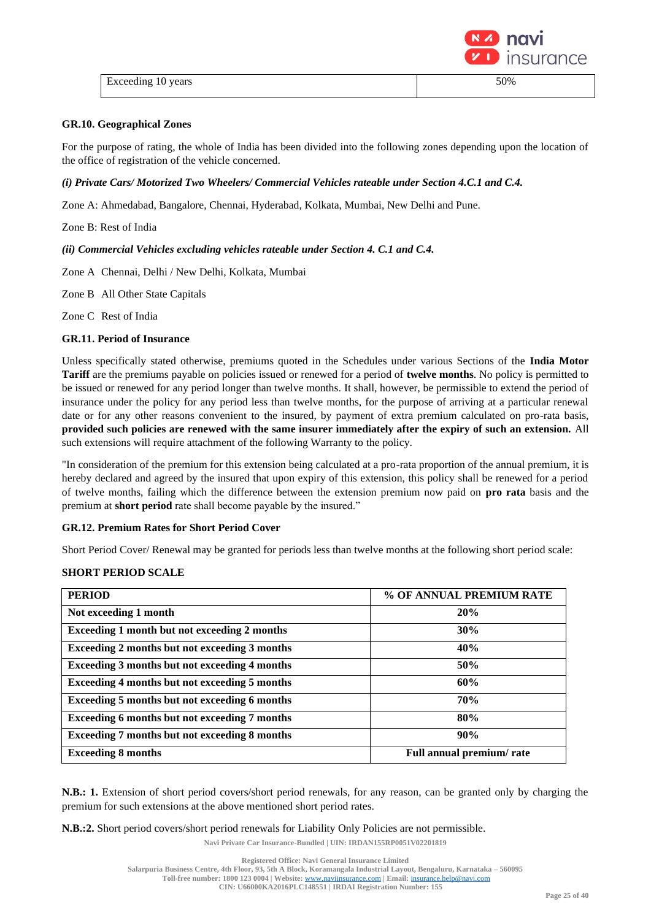### **GR.10. Geographical Zones**

For the purpose of rating, the whole of India has been divided into the following zones depending upon the location of the office of registration of the vehicle concerned.

### *(i) Private Cars/ Motorized Two Wheelers/ Commercial Vehicles rateable under Section 4.C.1 and C.4.*

Zone A: Ahmedabad, Bangalore, Chennai, Hyderabad, Kolkata, Mumbai, New Delhi and Pune.

Zone B: Rest of India

#### *(ii) Commercial Vehicles excluding vehicles rateable under Section 4. C.1 and C.4.*

Zone A Chennai, Delhi / New Delhi, Kolkata, Mumbai

Zone B All Other State Capitals

Zone C Rest of India

#### **GR.11. Period of Insurance**

Unless specifically stated otherwise, premiums quoted in the Schedules under various Sections of the **India Motor Tariff** are the premiums payable on policies issued or renewed for a period of **twelve months**. No policy is permitted to be issued or renewed for any period longer than twelve months. It shall, however, be permissible to extend the period of insurance under the policy for any period less than twelve months, for the purpose of arriving at a particular renewal date or for any other reasons convenient to the insured, by payment of extra premium calculated on pro-rata basis, **provided such policies are renewed with the same insurer immediately after the expiry of such an extension.** All such extensions will require attachment of the following Warranty to the policy.

"In consideration of the premium for this extension being calculated at a pro-rata proportion of the annual premium, it is hereby declared and agreed by the insured that upon expiry of this extension, this policy shall be renewed for a period of twelve months, failing which the difference between the extension premium now paid on **pro rata** basis and the premium at **short period** rate shall become payable by the insured."

### **GR.12. Premium Rates for Short Period Cover**

Short Period Cover/ Renewal may be granted for periods less than twelve months at the following short period scale:

### **SHORT PERIOD SCALE**

| <b>PERIOD</b>                                        | % OF ANNUAL PREMIUM RATE |
|------------------------------------------------------|--------------------------|
| Not exceeding 1 month                                | 20%                      |
| <b>Exceeding 1 month but not exceeding 2 months</b>  | 30%                      |
| Exceeding 2 months but not exceeding 3 months        | 40%                      |
| Exceeding 3 months but not exceeding 4 months        | 50%                      |
| <b>Exceeding 4 months but not exceeding 5 months</b> | 60%                      |
| Exceeding 5 months but not exceeding 6 months        | <b>70%</b>               |
| Exceeding 6 months but not exceeding 7 months        | 80%                      |
| <b>Exceeding 7 months but not exceeding 8 months</b> | 90%                      |
| <b>Exceeding 8 months</b>                            | Full annual premium/rate |

**N.B.: 1.** Extension of short period covers/short period renewals, for any reason, can be granted only by charging the premium for such extensions at the above mentioned short period rates.

**N.B.:2.** Short period covers/short period renewals for Liability Only Policies are not permissible.

**Navi Private Car Insurance-Bundled | UIN: IRDAN155RP0051V02201819**

**Page 25 of 40**

insurance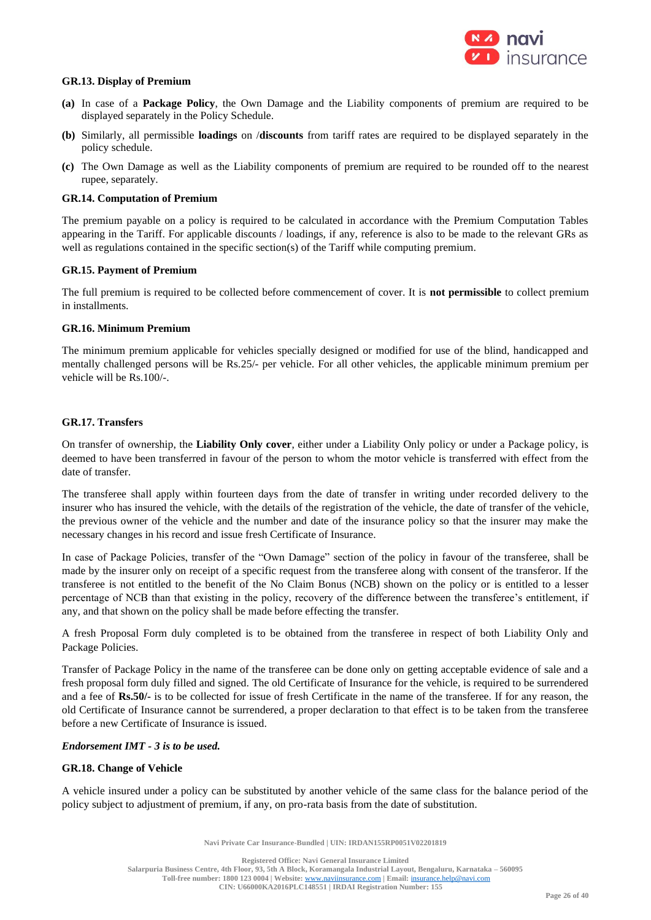

## **GR.13. Display of Premium**

- **(a)** In case of a **Package Policy**, the Own Damage and the Liability components of premium are required to be displayed separately in the Policy Schedule.
- **(b)** Similarly, all permissible **loadings** on /**discounts** from tariff rates are required to be displayed separately in the policy schedule.
- **(c)** The Own Damage as well as the Liability components of premium are required to be rounded off to the nearest rupee, separately.

### **GR.14. Computation of Premium**

The premium payable on a policy is required to be calculated in accordance with the Premium Computation Tables appearing in the Tariff. For applicable discounts / loadings, if any, reference is also to be made to the relevant GRs as well as regulations contained in the specific section(s) of the Tariff while computing premium.

### **GR.15. Payment of Premium**

The full premium is required to be collected before commencement of cover. It is **not permissible** to collect premium in installments.

### **GR.16. Minimum Premium**

The minimum premium applicable for vehicles specially designed or modified for use of the blind, handicapped and mentally challenged persons will be Rs.25/- per vehicle. For all other vehicles, the applicable minimum premium per vehicle will be Rs.100/-.

## **GR.17. Transfers**

On transfer of ownership, the **Liability Only cover**, either under a Liability Only policy or under a Package policy, is deemed to have been transferred in favour of the person to whom the motor vehicle is transferred with effect from the date of transfer.

The transferee shall apply within fourteen days from the date of transfer in writing under recorded delivery to the insurer who has insured the vehicle, with the details of the registration of the vehicle, the date of transfer of the vehicle, the previous owner of the vehicle and the number and date of the insurance policy so that the insurer may make the necessary changes in his record and issue fresh Certificate of Insurance.

In case of Package Policies, transfer of the "Own Damage" section of the policy in favour of the transferee, shall be made by the insurer only on receipt of a specific request from the transferee along with consent of the transferor. If the transferee is not entitled to the benefit of the No Claim Bonus (NCB) shown on the policy or is entitled to a lesser percentage of NCB than that existing in the policy, recovery of the difference between the transferee's entitlement, if any, and that shown on the policy shall be made before effecting the transfer.

A fresh Proposal Form duly completed is to be obtained from the transferee in respect of both Liability Only and Package Policies.

Transfer of Package Policy in the name of the transferee can be done only on getting acceptable evidence of sale and a fresh proposal form duly filled and signed. The old Certificate of Insurance for the vehicle, is required to be surrendered and a fee of **Rs.50/-** is to be collected for issue of fresh Certificate in the name of the transferee. If for any reason, the old Certificate of Insurance cannot be surrendered, a proper declaration to that effect is to be taken from the transferee before a new Certificate of Insurance is issued.

### *Endorsement IMT - 3 is to be used.*

### **GR.18. Change of Vehicle**

A vehicle insured under a policy can be substituted by another vehicle of the same class for the balance period of the policy subject to adjustment of premium, if any, on pro-rata basis from the date of substitution.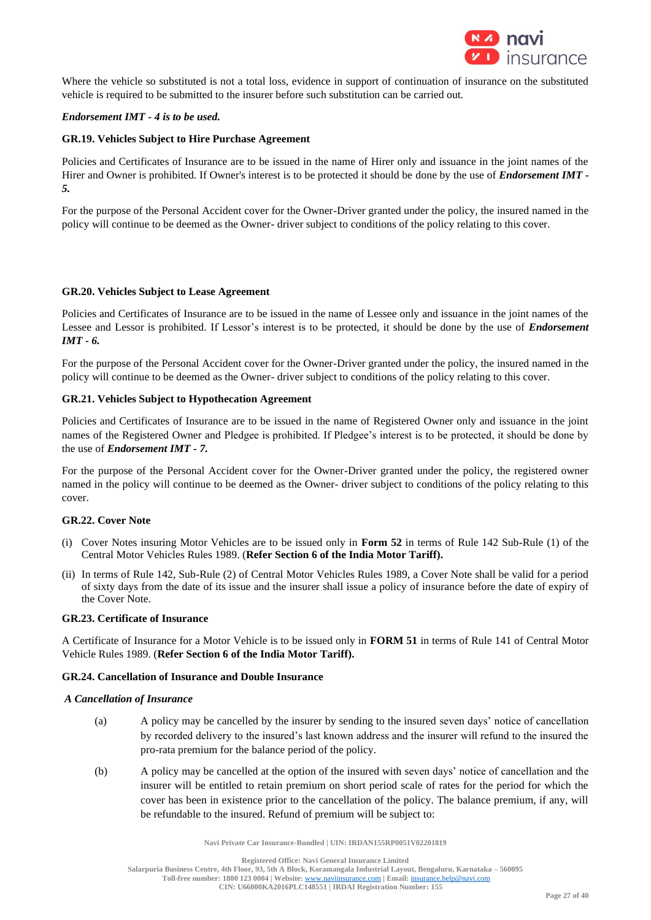

Where the vehicle so substituted is not a total loss, evidence in support of continuation of insurance on the substituted vehicle is required to be submitted to the insurer before such substitution can be carried out.

### *Endorsement IMT - 4 is to be used.*

#### **GR.19. Vehicles Subject to Hire Purchase Agreement**

Policies and Certificates of Insurance are to be issued in the name of Hirer only and issuance in the joint names of the Hirer and Owner is prohibited. If Owner's interest is to be protected it should be done by the use of *Endorsement IMT - 5.*

For the purpose of the Personal Accident cover for the Owner-Driver granted under the policy, the insured named in the policy will continue to be deemed as the Owner- driver subject to conditions of the policy relating to this cover.

#### **GR.20. Vehicles Subject to Lease Agreement**

Policies and Certificates of Insurance are to be issued in the name of Lessee only and issuance in the joint names of the Lessee and Lessor is prohibited. If Lessor's interest is to be protected, it should be done by the use of *Endorsement IMT - 6.*

For the purpose of the Personal Accident cover for the Owner-Driver granted under the policy, the insured named in the policy will continue to be deemed as the Owner- driver subject to conditions of the policy relating to this cover.

#### **GR.21. Vehicles Subject to Hypothecation Agreement**

Policies and Certificates of Insurance are to be issued in the name of Registered Owner only and issuance in the joint names of the Registered Owner and Pledgee is prohibited. If Pledgee's interest is to be protected, it should be done by the use of *Endorsement IMT - 7.* 

For the purpose of the Personal Accident cover for the Owner-Driver granted under the policy, the registered owner named in the policy will continue to be deemed as the Owner- driver subject to conditions of the policy relating to this cover.

#### **GR.22. Cover Note**

- (i) Cover Notes insuring Motor Vehicles are to be issued only in **Form 52** in terms of Rule 142 Sub-Rule (1) of the Central Motor Vehicles Rules 1989. (**Refer Section 6 of the India Motor Tariff).**
- (ii) In terms of Rule 142, Sub-Rule (2) of Central Motor Vehicles Rules 1989, a Cover Note shall be valid for a period of sixty days from the date of its issue and the insurer shall issue a policy of insurance before the date of expiry of the Cover Note.

#### **GR.23. Certificate of Insurance**

A Certificate of Insurance for a Motor Vehicle is to be issued only in **FORM 51** in terms of Rule 141 of Central Motor Vehicle Rules 1989. (**Refer Section 6 of the India Motor Tariff).**

### **GR.24. Cancellation of Insurance and Double Insurance**

#### *A Cancellation of Insurance*

- (a) A policy may be cancelled by the insurer by sending to the insured seven days' notice of cancellation by recorded delivery to the insured's last known address and the insurer will refund to the insured the pro-rata premium for the balance period of the policy.
- (b) A policy may be cancelled at the option of the insured with seven days' notice of cancellation and the insurer will be entitled to retain premium on short period scale of rates for the period for which the cover has been in existence prior to the cancellation of the policy. The balance premium, if any, will be refundable to the insured. Refund of premium will be subject to:

**Navi Private Car Insurance-Bundled | UIN: IRDAN155RP0051V02201819**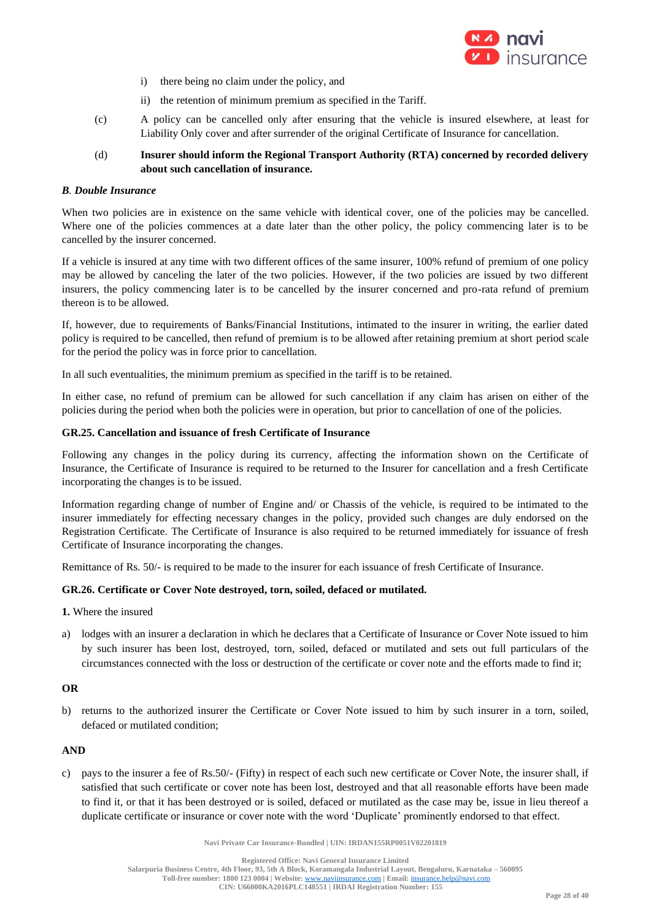

- i) there being no claim under the policy, and
- ii) the retention of minimum premium as specified in the Tariff.
- (c) A policy can be cancelled only after ensuring that the vehicle is insured elsewhere, at least for Liability Only cover and after surrender of the original Certificate of Insurance for cancellation.
- (d) **Insurer should inform the Regional Transport Authority (RTA) concerned by recorded delivery about such cancellation of insurance.**

#### *B. Double Insurance*

When two policies are in existence on the same vehicle with identical cover, one of the policies may be cancelled. Where one of the policies commences at a date later than the other policy, the policy commencing later is to be cancelled by the insurer concerned.

If a vehicle is insured at any time with two different offices of the same insurer, 100% refund of premium of one policy may be allowed by canceling the later of the two policies. However, if the two policies are issued by two different insurers, the policy commencing later is to be cancelled by the insurer concerned and pro-rata refund of premium thereon is to be allowed.

If, however, due to requirements of Banks/Financial Institutions, intimated to the insurer in writing, the earlier dated policy is required to be cancelled, then refund of premium is to be allowed after retaining premium at short period scale for the period the policy was in force prior to cancellation.

In all such eventualities, the minimum premium as specified in the tariff is to be retained.

In either case, no refund of premium can be allowed for such cancellation if any claim has arisen on either of the policies during the period when both the policies were in operation, but prior to cancellation of one of the policies.

#### **GR.25. Cancellation and issuance of fresh Certificate of Insurance**

Following any changes in the policy during its currency, affecting the information shown on the Certificate of Insurance, the Certificate of Insurance is required to be returned to the Insurer for cancellation and a fresh Certificate incorporating the changes is to be issued.

Information regarding change of number of Engine and/ or Chassis of the vehicle, is required to be intimated to the insurer immediately for effecting necessary changes in the policy, provided such changes are duly endorsed on the Registration Certificate. The Certificate of Insurance is also required to be returned immediately for issuance of fresh Certificate of Insurance incorporating the changes.

Remittance of Rs. 50/- is required to be made to the insurer for each issuance of fresh Certificate of Insurance.

#### **GR.26. Certificate or Cover Note destroyed, torn, soiled, defaced or mutilated.**

- **1.** Where the insured
- a) lodges with an insurer a declaration in which he declares that a Certificate of Insurance or Cover Note issued to him by such insurer has been lost, destroyed, torn, soiled, defaced or mutilated and sets out full particulars of the circumstances connected with the loss or destruction of the certificate or cover note and the efforts made to find it;

### **OR**

b) returns to the authorized insurer the Certificate or Cover Note issued to him by such insurer in a torn, soiled, defaced or mutilated condition;

#### **AND**

c) pays to the insurer a fee of Rs.50/- (Fifty) in respect of each such new certificate or Cover Note, the insurer shall, if satisfied that such certificate or cover note has been lost, destroyed and that all reasonable efforts have been made to find it, or that it has been destroyed or is soiled, defaced or mutilated as the case may be, issue in lieu thereof a duplicate certificate or insurance or cover note with the word 'Duplicate' prominently endorsed to that effect.

**Navi Private Car Insurance-Bundled | UIN: IRDAN155RP0051V02201819**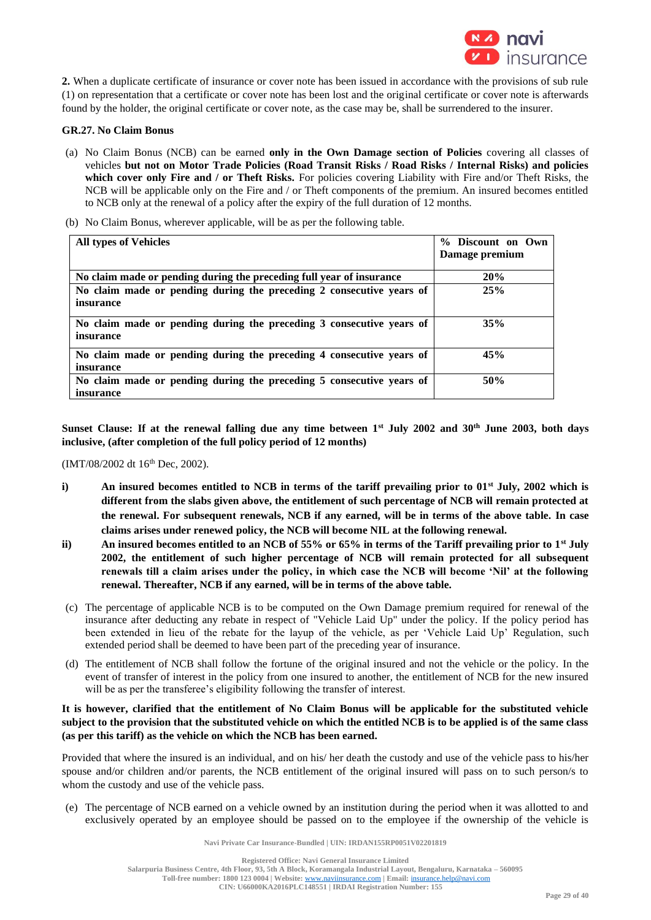

**2.** When a duplicate certificate of insurance or cover note has been issued in accordance with the provisions of sub rule (1) on representation that a certificate or cover note has been lost and the original certificate or cover note is afterwards found by the holder, the original certificate or cover note, as the case may be, shall be surrendered to the insurer.

#### **GR.27. No Claim Bonus**

- (a) No Claim Bonus (NCB) can be earned **only in the Own Damage section of Policies** covering all classes of vehicles **but not on Motor Trade Policies (Road Transit Risks / Road Risks / Internal Risks) and policies which cover only Fire and / or Theft Risks.** For policies covering Liability with Fire and/or Theft Risks, the NCB will be applicable only on the Fire and / or Theft components of the premium. An insured becomes entitled to NCB only at the renewal of a policy after the expiry of the full duration of 12 months.
- (b) No Claim Bonus, wherever applicable, will be as per the following table.

| <b>All types of Vehicles</b>                                                             | % Discount on Own |
|------------------------------------------------------------------------------------------|-------------------|
|                                                                                          | Damage premium    |
| No claim made or pending during the preceding full year of insurance                     | 20%               |
| No claim made or pending during the preceding 2 consecutive years of<br><i>insurance</i> | 25%               |
| No claim made or pending during the preceding 3 consecutive years of<br>insurance        | 35%               |
| No claim made or pending during the preceding 4 consecutive years of<br>insurance        | 45%               |
| No claim made or pending during the preceding 5 consecutive years of<br><i>insurance</i> | 50%               |

**Sunset Clause: If at the renewal falling due any time between 1st July 2002 and 30th June 2003, both days inclusive, (after completion of the full policy period of 12 months)**

(IMT/08/2002 dt 16<sup>th</sup> Dec, 2002).

- **i) An insured becomes entitled to NCB in terms of the tariff prevailing prior to 01st July, 2002 which is different from the slabs given above, the entitlement of such percentage of NCB will remain protected at the renewal. For subsequent renewals, NCB if any earned, will be in terms of the above table. In case claims arises under renewed policy, the NCB will become NIL at the following renewal.**
- **ii) An insured becomes entitled to an NCB of 55% or 65% in terms of the Tariff prevailing prior to 1st July 2002, the entitlement of such higher percentage of NCB will remain protected for all subsequent renewals till a claim arises under the policy, in which case the NCB will become 'Nil' at the following renewal. Thereafter, NCB if any earned, will be in terms of the above table.**
- (c) The percentage of applicable NCB is to be computed on the Own Damage premium required for renewal of the insurance after deducting any rebate in respect of "Vehicle Laid Up" under the policy. If the policy period has been extended in lieu of the rebate for the layup of the vehicle, as per 'Vehicle Laid Up' Regulation, such extended period shall be deemed to have been part of the preceding year of insurance.
- (d) The entitlement of NCB shall follow the fortune of the original insured and not the vehicle or the policy. In the event of transfer of interest in the policy from one insured to another, the entitlement of NCB for the new insured will be as per the transferee's eligibility following the transfer of interest.

## **It is however, clarified that the entitlement of No Claim Bonus will be applicable for the substituted vehicle subject to the provision that the substituted vehicle on which the entitled NCB is to be applied is of the same class (as per this tariff) as the vehicle on which the NCB has been earned.**

Provided that where the insured is an individual, and on his/ her death the custody and use of the vehicle pass to his/her spouse and/or children and/or parents, the NCB entitlement of the original insured will pass on to such person/s to whom the custody and use of the vehicle pass.

(e) The percentage of NCB earned on a vehicle owned by an institution during the period when it was allotted to and exclusively operated by an employee should be passed on to the employee if the ownership of the vehicle is

**Navi Private Car Insurance-Bundled | UIN: IRDAN155RP0051V02201819**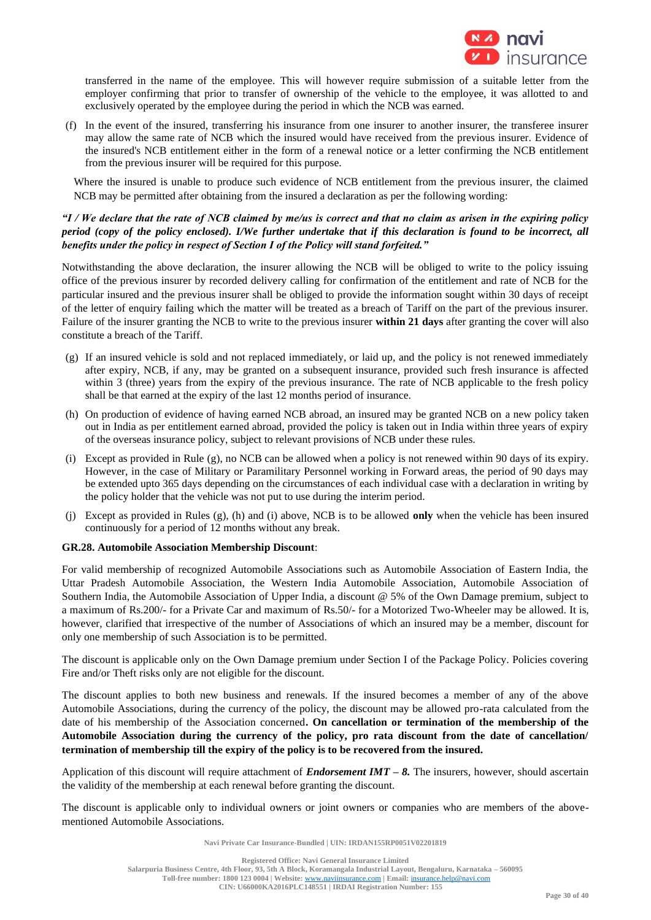

transferred in the name of the employee. This will however require submission of a suitable letter from the employer confirming that prior to transfer of ownership of the vehicle to the employee, it was allotted to and exclusively operated by the employee during the period in which the NCB was earned.

(f) In the event of the insured, transferring his insurance from one insurer to another insurer, the transferee insurer may allow the same rate of NCB which the insured would have received from the previous insurer. Evidence of the insured's NCB entitlement either in the form of a renewal notice or a letter confirming the NCB entitlement from the previous insurer will be required for this purpose.

Where the insured is unable to produce such evidence of NCB entitlement from the previous insurer, the claimed NCB may be permitted after obtaining from the insured a declaration as per the following wording:

## *"I / We declare that the rate of NCB claimed by me/us is correct and that no claim as arisen in the expiring policy period (copy of the policy enclosed). I/We further undertake that if this declaration is found to be incorrect, all benefits under the policy in respect of Section I of the Policy will stand forfeited."*

Notwithstanding the above declaration, the insurer allowing the NCB will be obliged to write to the policy issuing office of the previous insurer by recorded delivery calling for confirmation of the entitlement and rate of NCB for the particular insured and the previous insurer shall be obliged to provide the information sought within 30 days of receipt of the letter of enquiry failing which the matter will be treated as a breach of Tariff on the part of the previous insurer. Failure of the insurer granting the NCB to write to the previous insurer **within 21 days** after granting the cover will also constitute a breach of the Tariff.

- (g) If an insured vehicle is sold and not replaced immediately, or laid up, and the policy is not renewed immediately after expiry, NCB, if any, may be granted on a subsequent insurance, provided such fresh insurance is affected within 3 (three) years from the expiry of the previous insurance. The rate of NCB applicable to the fresh policy shall be that earned at the expiry of the last 12 months period of insurance.
- (h) On production of evidence of having earned NCB abroad, an insured may be granted NCB on a new policy taken out in India as per entitlement earned abroad, provided the policy is taken out in India within three years of expiry of the overseas insurance policy, subject to relevant provisions of NCB under these rules.
- (i) Except as provided in Rule (g), no NCB can be allowed when a policy is not renewed within 90 days of its expiry. However, in the case of Military or Paramilitary Personnel working in Forward areas, the period of 90 days may be extended upto 365 days depending on the circumstances of each individual case with a declaration in writing by the policy holder that the vehicle was not put to use during the interim period.
- (j) Except as provided in Rules (g), (h) and (i) above, NCB is to be allowed **only** when the vehicle has been insured continuously for a period of 12 months without any break.

### **GR.28. Automobile Association Membership Discount**:

For valid membership of recognized Automobile Associations such as Automobile Association of Eastern India, the Uttar Pradesh Automobile Association, the Western India Automobile Association, Automobile Association of Southern India, the Automobile Association of Upper India, a discount @ 5% of the Own Damage premium, subject to a maximum of Rs.200/- for a Private Car and maximum of Rs.50/- for a Motorized Two-Wheeler may be allowed. It is, however, clarified that irrespective of the number of Associations of which an insured may be a member, discount for only one membership of such Association is to be permitted.

The discount is applicable only on the Own Damage premium under Section I of the Package Policy. Policies covering Fire and/or Theft risks only are not eligible for the discount.

The discount applies to both new business and renewals. If the insured becomes a member of any of the above Automobile Associations, during the currency of the policy, the discount may be allowed pro-rata calculated from the date of his membership of the Association concerned**. On cancellation or termination of the membership of the Automobile Association during the currency of the policy, pro rata discount from the date of cancellation/ termination of membership till the expiry of the policy is to be recovered from the insured.**

Application of this discount will require attachment of *Endorsement IMT – 8.* The insurers, however, should ascertain the validity of the membership at each renewal before granting the discount.

The discount is applicable only to individual owners or joint owners or companies who are members of the abovementioned Automobile Associations.

**Navi Private Car Insurance-Bundled | UIN: IRDAN155RP0051V02201819**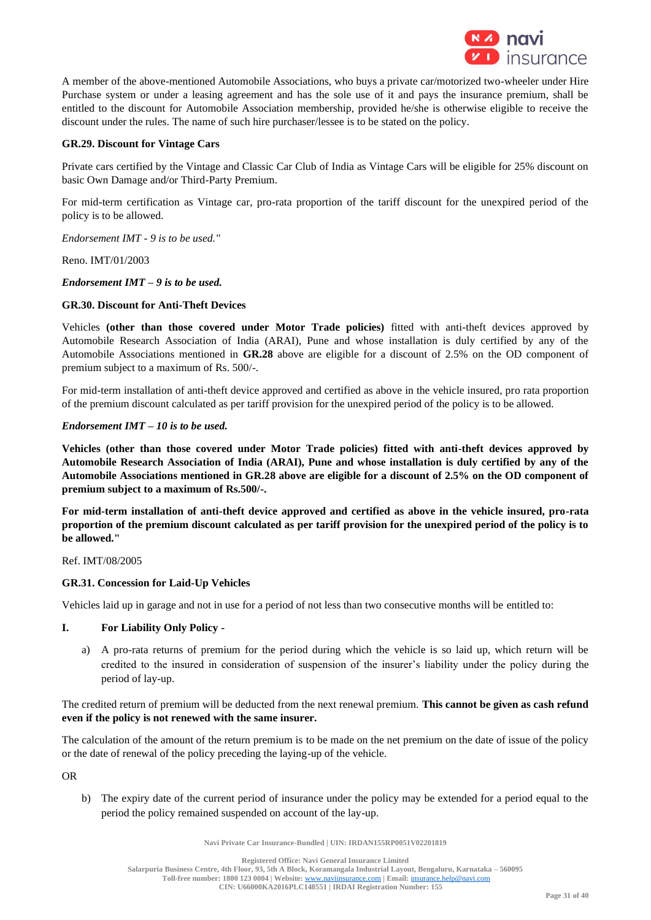

A member of the above-mentioned Automobile Associations, who buys a private car/motorized two-wheeler under Hire Purchase system or under a leasing agreement and has the sole use of it and pays the insurance premium, shall be entitled to the discount for Automobile Association membership, provided he/she is otherwise eligible to receive the discount under the rules. The name of such hire purchaser/lessee is to be stated on the policy.

## **GR.29. Discount for Vintage Cars**

Private cars certified by the Vintage and Classic Car Club of India as Vintage Cars will be eligible for 25% discount on basic Own Damage and/or Third-Party Premium.

For mid-term certification as Vintage car, pro-rata proportion of the tariff discount for the unexpired period of the policy is to be allowed.

*Endorsement IMT - 9 is to be used."*

Reno. IMT/01/2003

*Endorsement IMT – 9 is to be used.*

## **GR.30. Discount for Anti-Theft Devices**

Vehicles **(other than those covered under Motor Trade policies)** fitted with anti-theft devices approved by Automobile Research Association of India (ARAI), Pune and whose installation is duly certified by any of the Automobile Associations mentioned in **GR.28** above are eligible for a discount of 2.5% on the OD component of premium subject to a maximum of Rs. 500/-.

For mid-term installation of anti-theft device approved and certified as above in the vehicle insured, pro rata proportion of the premium discount calculated as per tariff provision for the unexpired period of the policy is to be allowed.

### *Endorsement IMT – 10 is to be used.*

**Vehicles (other than those covered under Motor Trade policies) fitted with anti-theft devices approved by Automobile Research Association of India (ARAI), Pune and whose installation is duly certified by any of the Automobile Associations mentioned in GR.28 above are eligible for a discount of 2.5% on the OD component of premium subject to a maximum of Rs.500/-.**

**For mid-term installation of anti-theft device approved and certified as above in the vehicle insured, pro-rata proportion of the premium discount calculated as per tariff provision for the unexpired period of the policy is to be allowed."**

Ref. IMT/08/2005

### **GR.31. Concession for Laid-Up Vehicles**

Vehicles laid up in garage and not in use for a period of not less than two consecutive months will be entitled to:

### **I. For Liability Only Policy -**

a) A pro-rata returns of premium for the period during which the vehicle is so laid up, which return will be credited to the insured in consideration of suspension of the insurer's liability under the policy during the period of lay-up.

The credited return of premium will be deducted from the next renewal premium. **This cannot be given as cash refund even if the policy is not renewed with the same insurer.**

The calculation of the amount of the return premium is to be made on the net premium on the date of issue of the policy or the date of renewal of the policy preceding the laying-up of the vehicle.

OR

b) The expiry date of the current period of insurance under the policy may be extended for a period equal to the period the policy remained suspended on account of the lay-up.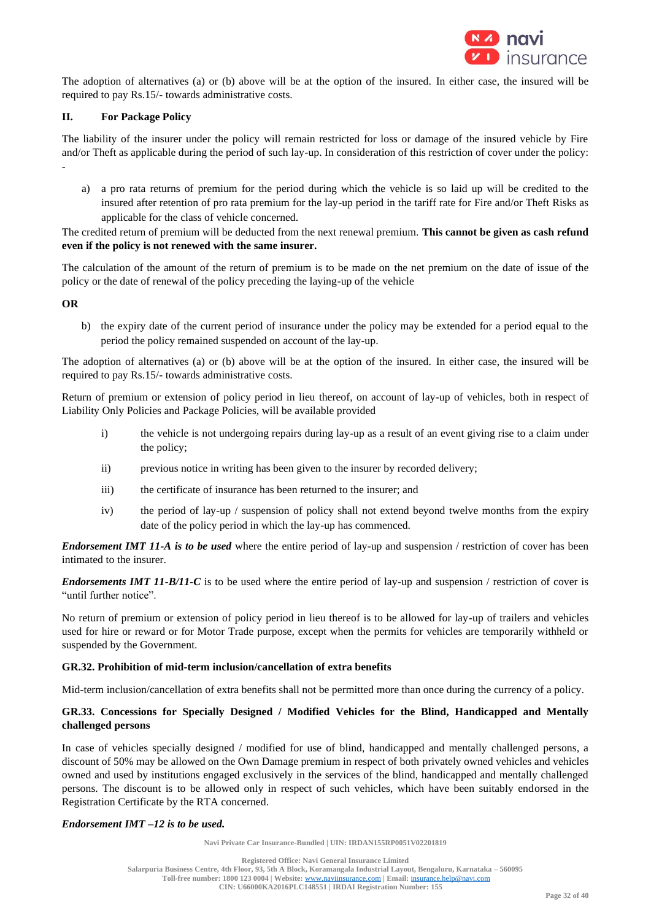

The adoption of alternatives (a) or (b) above will be at the option of the insured. In either case, the insured will be required to pay Rs.15/- towards administrative costs.

## **II. For Package Policy**

The liability of the insurer under the policy will remain restricted for loss or damage of the insured vehicle by Fire and/or Theft as applicable during the period of such lay-up. In consideration of this restriction of cover under the policy: -

a) a pro rata returns of premium for the period during which the vehicle is so laid up will be credited to the insured after retention of pro rata premium for the lay-up period in the tariff rate for Fire and/or Theft Risks as applicable for the class of vehicle concerned.

The credited return of premium will be deducted from the next renewal premium. **This cannot be given as cash refund even if the policy is not renewed with the same insurer.**

The calculation of the amount of the return of premium is to be made on the net premium on the date of issue of the policy or the date of renewal of the policy preceding the laying-up of the vehicle

### **OR**

b) the expiry date of the current period of insurance under the policy may be extended for a period equal to the period the policy remained suspended on account of the lay-up.

The adoption of alternatives (a) or (b) above will be at the option of the insured. In either case, the insured will be required to pay Rs.15/- towards administrative costs.

Return of premium or extension of policy period in lieu thereof, on account of lay-up of vehicles, both in respect of Liability Only Policies and Package Policies, will be available provided

- i) the vehicle is not undergoing repairs during lay-up as a result of an event giving rise to a claim under the policy;
- ii) previous notice in writing has been given to the insurer by recorded delivery;
- iii) the certificate of insurance has been returned to the insurer; and
- iv) the period of lay-up / suspension of policy shall not extend beyond twelve months from the expiry date of the policy period in which the lay-up has commenced.

*Endorsement IMT 11-A is to be used* where the entire period of lay-up and suspension / restriction of cover has been intimated to the insurer.

*Endorsements IMT 11-B/11-C* is to be used where the entire period of lay-up and suspension / restriction of cover is "until further notice".

No return of premium or extension of policy period in lieu thereof is to be allowed for lay-up of trailers and vehicles used for hire or reward or for Motor Trade purpose, except when the permits for vehicles are temporarily withheld or suspended by the Government.

### **GR.32. Prohibition of mid-term inclusion/cancellation of extra benefits**

Mid-term inclusion/cancellation of extra benefits shall not be permitted more than once during the currency of a policy.

## **GR.33. Concessions for Specially Designed / Modified Vehicles for the Blind, Handicapped and Mentally challenged persons**

In case of vehicles specially designed / modified for use of blind, handicapped and mentally challenged persons, a discount of 50% may be allowed on the Own Damage premium in respect of both privately owned vehicles and vehicles owned and used by institutions engaged exclusively in the services of the blind, handicapped and mentally challenged persons. The discount is to be allowed only in respect of such vehicles, which have been suitably endorsed in the Registration Certificate by the RTA concerned.

### *Endorsement IMT –12 is to be used.*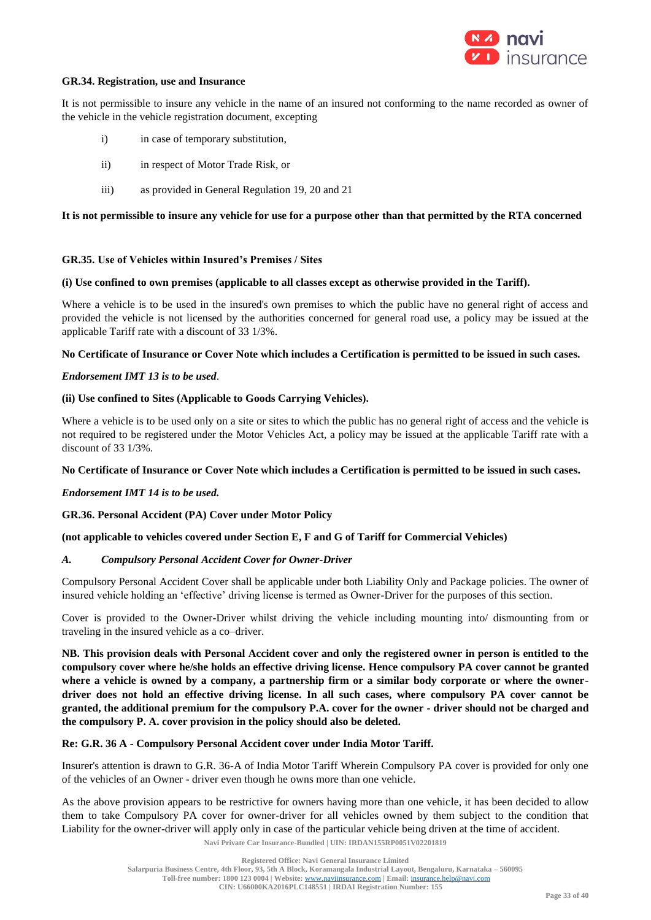

#### **GR.34. Registration, use and Insurance**

It is not permissible to insure any vehicle in the name of an insured not conforming to the name recorded as owner of the vehicle in the vehicle registration document, excepting

- i) in case of temporary substitution.
- ii) in respect of Motor Trade Risk, or
- iii) as provided in General Regulation 19, 20 and 21

#### **It is not permissible to insure any vehicle for use for a purpose other than that permitted by the RTA concerned**

#### **GR.35. Use of Vehicles within Insured's Premises / Sites**

#### **(i) Use confined to own premises (applicable to all classes except as otherwise provided in the Tariff).**

Where a vehicle is to be used in the insured's own premises to which the public have no general right of access and provided the vehicle is not licensed by the authorities concerned for general road use, a policy may be issued at the applicable Tariff rate with a discount of 33 1/3%.

#### **No Certificate of Insurance or Cover Note which includes a Certification is permitted to be issued in such cases.**

#### *Endorsement IMT 13 is to be used.*

#### **(ii) Use confined to Sites (Applicable to Goods Carrying Vehicles).**

Where a vehicle is to be used only on a site or sites to which the public has no general right of access and the vehicle is not required to be registered under the Motor Vehicles Act, a policy may be issued at the applicable Tariff rate with a discount of 33 1/3%.

#### **No Certificate of Insurance or Cover Note which includes a Certification is permitted to be issued in such cases.**

#### *Endorsement IMT 14 is to be used.*

### **GR.36. Personal Accident (PA) Cover under Motor Policy**

### **(not applicable to vehicles covered under Section E, F and G of Tariff for Commercial Vehicles)**

#### *A. Compulsory Personal Accident Cover for Owner-Driver*

Compulsory Personal Accident Cover shall be applicable under both Liability Only and Package policies. The owner of insured vehicle holding an 'effective' driving license is termed as Owner-Driver for the purposes of this section.

Cover is provided to the Owner-Driver whilst driving the vehicle including mounting into/ dismounting from or traveling in the insured vehicle as a co–driver.

**NB. This provision deals with Personal Accident cover and only the registered owner in person is entitled to the compulsory cover where he/she holds an effective driving license. Hence compulsory PA cover cannot be granted where a vehicle is owned by a company, a partnership firm or a similar body corporate or where the ownerdriver does not hold an effective driving license. In all such cases, where compulsory PA cover cannot be granted, the additional premium for the compulsory P.A. cover for the owner - driver should not be charged and the compulsory P. A. cover provision in the policy should also be deleted.** 

#### **Re: G.R. 36 A - Compulsory Personal Accident cover under India Motor Tariff.**

Insurer's attention is drawn to G.R. 36-A of India Motor Tariff Wherein Compulsory PA cover is provided for only one of the vehicles of an Owner - driver even though he owns more than one vehicle.

As the above provision appears to be restrictive for owners having more than one vehicle, it has been decided to allow them to take Compulsory PA cover for owner-driver for all vehicles owned by them subject to the condition that Liability for the owner-driver will apply only in case of the particular vehicle being driven at the time of accident.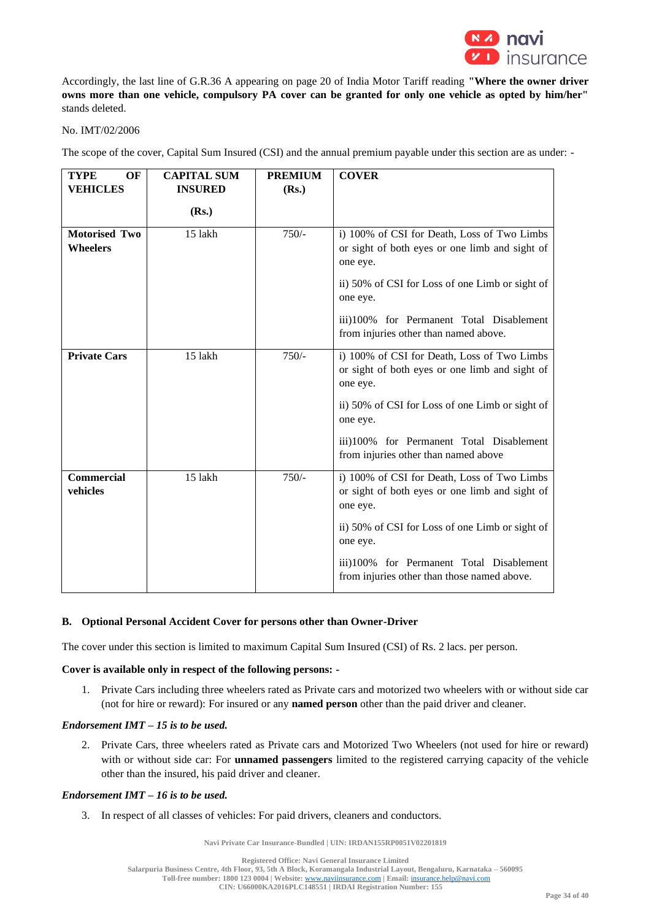

Accordingly, the last line of G.R.36 A appearing on page 20 of India Motor Tariff reading **"Where the owner driver owns more than one vehicle, compulsory PA cover can be granted for only one vehicle as opted by him/her"** stands deleted.

### No. IMT/02/2006

The scope of the cover, Capital Sum Insured (CSI) and the annual premium payable under this section are as under: -

| OF<br><b>TYPE</b>                       | <b>CAPITAL SUM</b> | <b>PREMIUM</b> | <b>COVER</b>                                                                                              |
|-----------------------------------------|--------------------|----------------|-----------------------------------------------------------------------------------------------------------|
| <b>VEHICLES</b>                         | <b>INSURED</b>     | (Rs.)          |                                                                                                           |
|                                         | (Rs.)              |                |                                                                                                           |
| <b>Motorised Two</b><br><b>Wheelers</b> | 15 lakh            | $750/-$        | i) 100% of CSI for Death, Loss of Two Limbs<br>or sight of both eyes or one limb and sight of<br>one eye. |
|                                         |                    |                | ii) 50% of CSI for Loss of one Limb or sight of<br>one eye.                                               |
|                                         |                    |                | iii)100% for Permanent Total Disablement<br>from injuries other than named above.                         |
| <b>Private Cars</b>                     | 15 lakh            | $750/-$        | i) 100% of CSI for Death, Loss of Two Limbs<br>or sight of both eyes or one limb and sight of<br>one eye. |
|                                         |                    |                | ii) 50% of CSI for Loss of one Limb or sight of<br>one eye.                                               |
|                                         |                    |                | iii)100% for Permanent Total Disablement<br>from injuries other than named above                          |
| <b>Commercial</b><br>vehicles           | 15 lakh            | $750/-$        | i) 100% of CSI for Death, Loss of Two Limbs<br>or sight of both eyes or one limb and sight of<br>one eye. |
|                                         |                    |                | ii) 50% of CSI for Loss of one Limb or sight of<br>one eye.                                               |
|                                         |                    |                | iii)100% for Permanent Total Disablement<br>from injuries other than those named above.                   |

### **B. Optional Personal Accident Cover for persons other than Owner-Driver**

The cover under this section is limited to maximum Capital Sum Insured (CSI) of Rs. 2 lacs. per person.

## **Cover is available only in respect of the following persons: -**

1. Private Cars including three wheelers rated as Private cars and motorized two wheelers with or without side car (not for hire or reward): For insured or any **named person** other than the paid driver and cleaner.

#### *Endorsement IMT – 15 is to be used.*

2. Private Cars, three wheelers rated as Private cars and Motorized Two Wheelers (not used for hire or reward) with or without side car: For **unnamed passengers** limited to the registered carrying capacity of the vehicle other than the insured, his paid driver and cleaner.

### *Endorsement IMT – 16 is to be used.*

3. In respect of all classes of vehicles: For paid drivers, cleaners and conductors.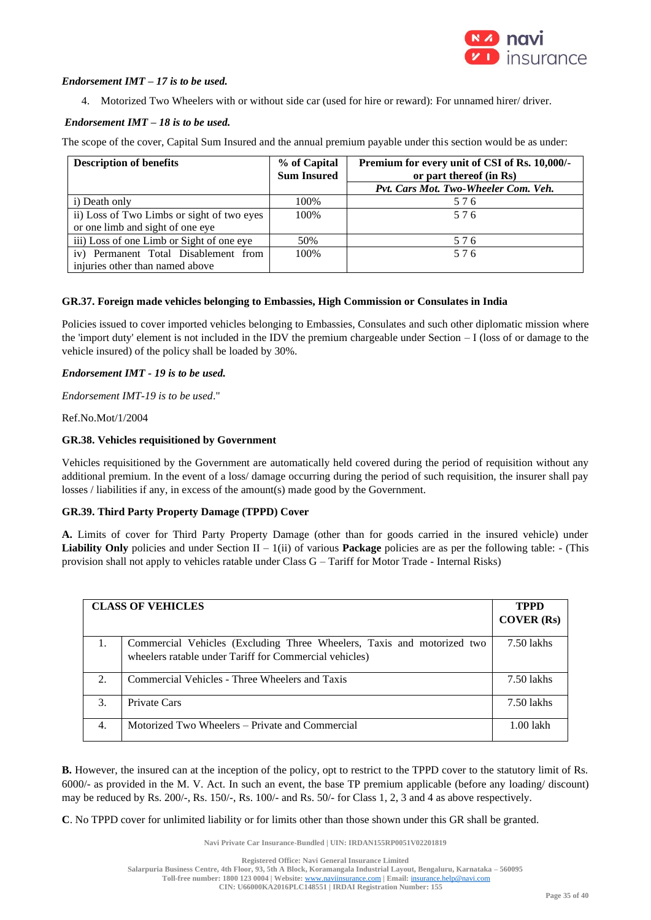

## *Endorsement IMT – 17 is to be used.*

4. Motorized Two Wheelers with or without side car (used for hire or reward): For unnamed hirer/ driver.

## *Endorsement IMT – 18 is to be used.*

The scope of the cover, Capital Sum Insured and the annual premium payable under this section would be as under:

| <b>Description of benefits</b>             | % of Capital<br><b>Sum Insured</b> | Premium for every unit of CSI of Rs. 10,000/-<br>or part thereof (in Rs) |
|--------------------------------------------|------------------------------------|--------------------------------------------------------------------------|
|                                            |                                    | Pvt. Cars Mot. Two-Wheeler Com. Veh.                                     |
| i) Death only                              | 100%                               | 576                                                                      |
| ii) Loss of Two Limbs or sight of two eyes | 100%                               | 576                                                                      |
| or one limb and sight of one eye           |                                    |                                                                          |
| iii) Loss of one Limb or Sight of one eye  | 50%                                | 576                                                                      |
| iv) Permanent Total Disablement from       | 100\%                              | 576                                                                      |
| injuries other than named above            |                                    |                                                                          |

### **GR.37. Foreign made vehicles belonging to Embassies, High Commission or Consulates in India**

Policies issued to cover imported vehicles belonging to Embassies, Consulates and such other diplomatic mission where the 'import duty' element is not included in the IDV the premium chargeable under Section – I (loss of or damage to the vehicle insured) of the policy shall be loaded by 30%.

### *Endorsement IMT - 19 is to be used.*

*Endorsement IMT-19 is to be used*."

#### Ref.No.Mot/1/2004

### **GR.38. Vehicles requisitioned by Government**

Vehicles requisitioned by the Government are automatically held covered during the period of requisition without any additional premium. In the event of a loss/ damage occurring during the period of such requisition, the insurer shall pay losses / liabilities if any, in excess of the amount(s) made good by the Government.

### **GR.39. Third Party Property Damage (TPPD) Cover**

**A.** Limits of cover for Third Party Property Damage (other than for goods carried in the insured vehicle) under **Liability Only** policies and under Section II – 1(ii) of various **Package** policies are as per the following table: - (This provision shall not apply to vehicles ratable under Class G – Tariff for Motor Trade - Internal Risks)

| <b>CLASS OF VEHICLES</b> |                                                                        | <b>TPPD</b> |
|--------------------------|------------------------------------------------------------------------|-------------|
|                          |                                                                        | COVER(Rs)   |
|                          | Commercial Vehicles (Excluding Three Wheelers, Taxis and motorized two | 7.50 lakhs  |
|                          | wheelers ratable under Tariff for Commercial vehicles)                 |             |
| 2.                       | Commercial Vehicles - Three Wheelers and Taxis                         | 7.50 lakhs  |
| $\mathcal{R}$            | Private Cars                                                           | 7.50 lakhs  |
| 4.                       | Motorized Two Wheelers – Private and Commercial                        | 1.00 lakh   |

**B.** However, the insured can at the inception of the policy, opt to restrict to the TPPD cover to the statutory limit of Rs. 6000/- as provided in the M. V. Act. In such an event, the base TP premium applicable (before any loading/ discount) may be reduced by Rs. 200/-, Rs. 150/-, Rs. 100/- and Rs. 50/- for Class 1, 2, 3 and 4 as above respectively.

**C**. No TPPD cover for unlimited liability or for limits other than those shown under this GR shall be granted.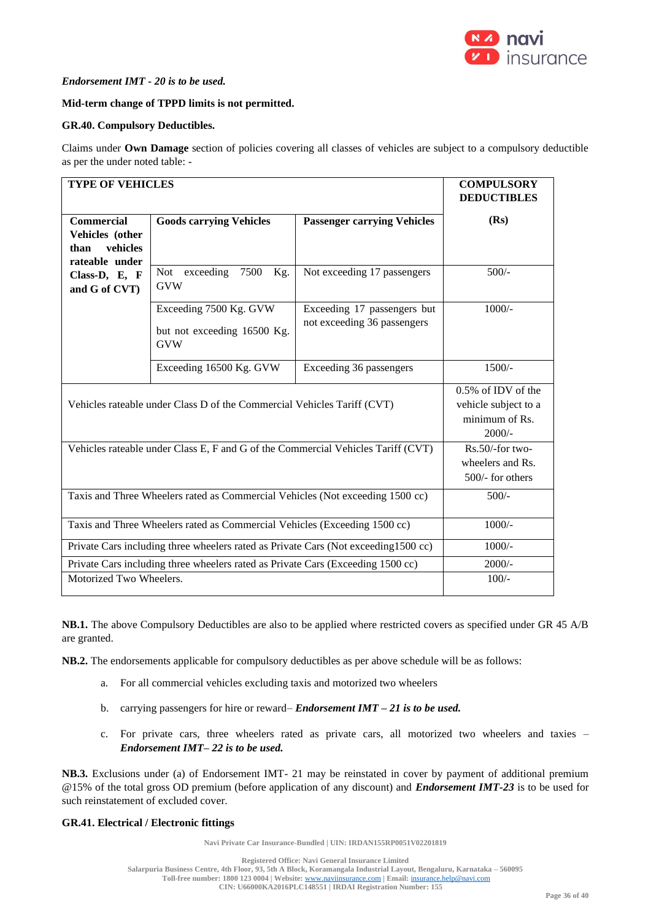

## *Endorsement IMT - 20 is to be used.*

### **Mid-term change of TPPD limits is not permitted.**

#### **GR.40. Compulsory Deductibles.**

Claims under **Own Damage** section of policies covering all classes of vehicles are subject to a compulsory deductible as per the under noted table: -

| <b>TYPE OF VEHICLES</b>                                                            |                                                                     |                                                            | <b>COMPULSORY</b><br><b>DEDUCTIBLES</b>                                  |
|------------------------------------------------------------------------------------|---------------------------------------------------------------------|------------------------------------------------------------|--------------------------------------------------------------------------|
| <b>Commercial</b><br>Vehicles (other<br>vehicles<br>than<br>rateable under         | <b>Goods carrying Vehicles</b>                                      | <b>Passenger carrying Vehicles</b>                         | (Rs)                                                                     |
| Class-D, E, F<br>and G of CVT)                                                     | Not exceeding<br>7500<br>Kg.<br><b>GVW</b>                          | Not exceeding 17 passengers                                | $500/-$                                                                  |
|                                                                                    | Exceeding 7500 Kg. GVW<br>but not exceeding 16500 Kg.<br><b>GVW</b> | Exceeding 17 passengers but<br>not exceeding 36 passengers | $1000/-$                                                                 |
|                                                                                    | Exceeding 16500 Kg. GVW                                             | Exceeding 36 passengers                                    | $1500/-$                                                                 |
| Vehicles rateable under Class D of the Commercial Vehicles Tariff (CVT)            |                                                                     |                                                            | 0.5% of IDV of the<br>vehicle subject to a<br>minimum of Rs.<br>$2000/-$ |
| Vehicles rateable under Class E, F and G of the Commercial Vehicles Tariff (CVT)   |                                                                     |                                                            | $Rs.50$ /-for two-<br>wheelers and Rs.<br>500/- for others               |
| Taxis and Three Wheelers rated as Commercial Vehicles (Not exceeding 1500 cc)      |                                                                     |                                                            | $500/-$                                                                  |
| Taxis and Three Wheelers rated as Commercial Vehicles (Exceeding 1500 cc)          |                                                                     |                                                            | $1000/-$                                                                 |
| Private Cars including three wheelers rated as Private Cars (Not exceeding1500 cc) |                                                                     | $1000/-$                                                   |                                                                          |
| Private Cars including three wheelers rated as Private Cars (Exceeding 1500 cc)    |                                                                     | $2000/-$                                                   |                                                                          |
| Motorized Two Wheelers.                                                            |                                                                     |                                                            | $100/-$                                                                  |

**NB.1.** The above Compulsory Deductibles are also to be applied where restricted covers as specified under GR 45 A/B are granted.

**NB.2.** The endorsements applicable for compulsory deductibles as per above schedule will be as follows:

- a. For all commercial vehicles excluding taxis and motorized two wheelers
- b. carrying passengers for hire or reward– *Endorsement IMT – 21 is to be used.*
- c. For private cars, three wheelers rated as private cars, all motorized two wheelers and taxies *Endorsement IMT– 22 is to be used.*

**NB.3.** Exclusions under (a) of Endorsement IMT- 21 may be reinstated in cover by payment of additional premium @15% of the total gross OD premium (before application of any discount) and *Endorsement IMT-23* is to be used for such reinstatement of excluded cover.

#### **GR.41. Electrical / Electronic fittings**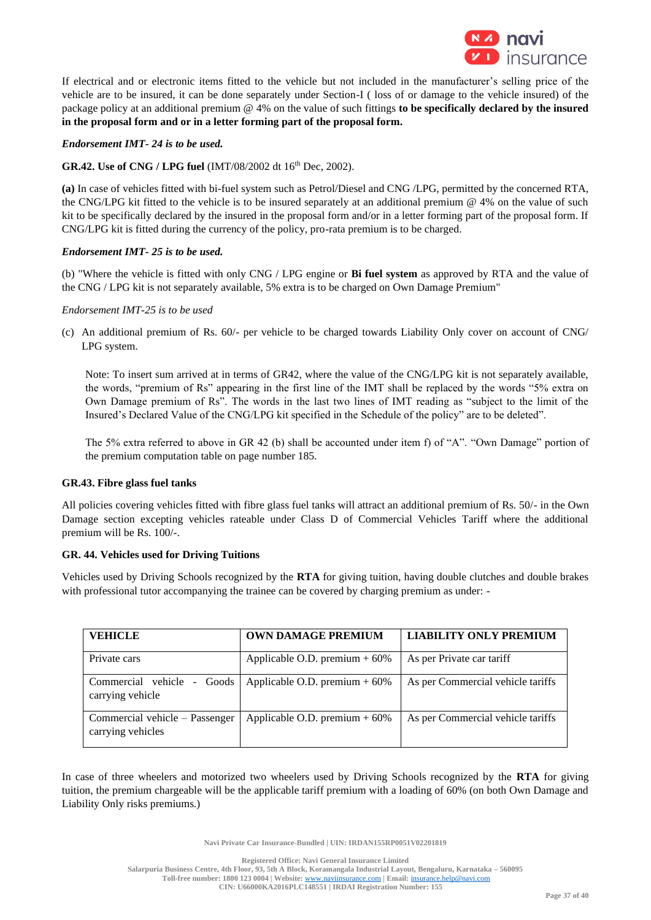

If electrical and or electronic items fitted to the vehicle but not included in the manufacturer's selling price of the vehicle are to be insured, it can be done separately under Section-I ( loss of or damage to the vehicle insured) of the package policy at an additional premium @ 4% on the value of such fittings **to be specifically declared by the insured in the proposal form and or in a letter forming part of the proposal form.**

## *Endorsement IMT- 24 is to be used.*

**GR.42.** Use of CNG / LPG fuel (IMT/08/2002 dt 16<sup>th</sup> Dec, 2002).

**(a)** In case of vehicles fitted with bi-fuel system such as Petrol/Diesel and CNG /LPG, permitted by the concerned RTA, the CNG/LPG kit fitted to the vehicle is to be insured separately at an additional premium @ 4% on the value of such kit to be specifically declared by the insured in the proposal form and/or in a letter forming part of the proposal form. If CNG/LPG kit is fitted during the currency of the policy, pro-rata premium is to be charged.

### *Endorsement IMT- 25 is to be used.*

(b) "Where the vehicle is fitted with only CNG / LPG engine or **Bi fuel system** as approved by RTA and the value of the CNG / LPG kit is not separately available, 5% extra is to be charged on Own Damage Premium"

### *Endorsement IMT-25 is to be used*

(c) An additional premium of Rs. 60/- per vehicle to be charged towards Liability Only cover on account of CNG/ LPG system.

Note: To insert sum arrived at in terms of GR42, where the value of the CNG/LPG kit is not separately available, the words, "premium of Rs" appearing in the first line of the IMT shall be replaced by the words "5% extra on Own Damage premium of Rs". The words in the last two lines of IMT reading as "subject to the limit of the Insured's Declared Value of the CNG/LPG kit specified in the Schedule of the policy" are to be deleted".

The 5% extra referred to above in GR 42 (b) shall be accounted under item f) of "A". "Own Damage" portion of the premium computation table on page number 185.

### **GR.43. Fibre glass fuel tanks**

All policies covering vehicles fitted with fibre glass fuel tanks will attract an additional premium of Rs. 50/- in the Own Damage section excepting vehicles rateable under Class D of Commercial Vehicles Tariff where the additional premium will be Rs. 100/-.

### **GR. 44. Vehicles used for Driving Tuitions**

Vehicles used by Driving Schools recognized by the **RTA** for giving tuition, having double clutches and double brakes with professional tutor accompanying the trainee can be covered by charging premium as under: -

| <b>VEHICLE</b>                                                 | <b>OWN DAMAGE PREMIUM</b>       | LIABILITY ONLY PREMIUM            |
|----------------------------------------------------------------|---------------------------------|-----------------------------------|
| Private cars                                                   | Applicable O.D. premium $+60\%$ | As per Private car tariff         |
| Commercial vehicle<br>Goods<br>$\sim$ $ -$<br>carrying vehicle | Applicable O.D. premium $+60\%$ | As per Commercial vehicle tariffs |
| Commercial vehicle – Passenger<br>carrying vehicles            | Applicable O.D. premium $+60\%$ | As per Commercial vehicle tariffs |

In case of three wheelers and motorized two wheelers used by Driving Schools recognized by the **RTA** for giving tuition, the premium chargeable will be the applicable tariff premium with a loading of 60% (on both Own Damage and Liability Only risks premiums.)

**Navi Private Car Insurance-Bundled | UIN: IRDAN155RP0051V02201819**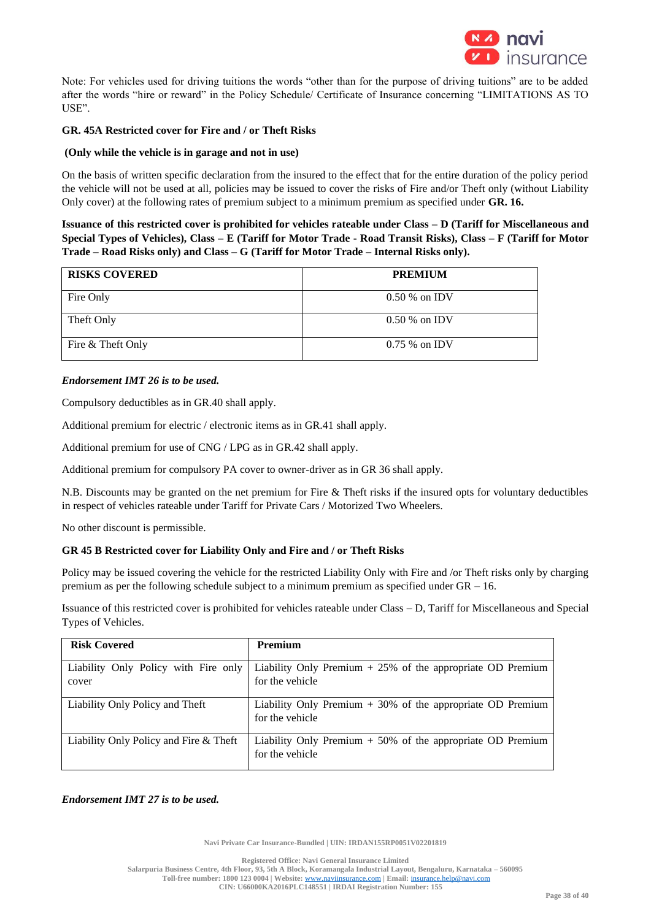

Note: For vehicles used for driving tuitions the words "other than for the purpose of driving tuitions" are to be added after the words "hire or reward" in the Policy Schedule/ Certificate of Insurance concerning "LIMITATIONS AS TO USE".

## **GR. 45A Restricted cover for Fire and / or Theft Risks**

### **(Only while the vehicle is in garage and not in use)**

On the basis of written specific declaration from the insured to the effect that for the entire duration of the policy period the vehicle will not be used at all, policies may be issued to cover the risks of Fire and/or Theft only (without Liability Only cover) at the following rates of premium subject to a minimum premium as specified under **GR. 16.**

**Issuance of this restricted cover is prohibited for vehicles rateable under Class – D (Tariff for Miscellaneous and Special Types of Vehicles), Class – E (Tariff for Motor Trade - Road Transit Risks), Class – F (Tariff for Motor Trade – Road Risks only) and Class – G (Tariff for Motor Trade – Internal Risks only).**

| <b>RISKS COVERED</b> | <b>PREMIUM</b>  |
|----------------------|-----------------|
| Fire Only            | $0.50\%$ on IDV |
| Theft Only           | $0.50\%$ on IDV |
| Fire & Theft Only    | $0.75\%$ on IDV |

### *Endorsement IMT 26 is to be used.*

Compulsory deductibles as in GR.40 shall apply.

Additional premium for electric / electronic items as in GR.41 shall apply.

Additional premium for use of CNG / LPG as in GR.42 shall apply.

Additional premium for compulsory PA cover to owner-driver as in GR 36 shall apply.

N.B. Discounts may be granted on the net premium for Fire & Theft risks if the insured opts for voluntary deductibles in respect of vehicles rateable under Tariff for Private Cars / Motorized Two Wheelers.

No other discount is permissible.

### **GR 45 B Restricted cover for Liability Only and Fire and / or Theft Risks**

Policy may be issued covering the vehicle for the restricted Liability Only with Fire and /or Theft risks only by charging premium as per the following schedule subject to a minimum premium as specified under GR – 16.

Issuance of this restricted cover is prohibited for vehicles rateable under Class – D, Tariff for Miscellaneous and Special Types of Vehicles.

| <b>Risk Covered</b>                           | <b>Premium</b>                                                                  |
|-----------------------------------------------|---------------------------------------------------------------------------------|
| Liability Only Policy with Fire only<br>cover | Liability Only Premium $+25\%$ of the appropriate OD Premium<br>for the vehicle |
| Liability Only Policy and Theft               | Liability Only Premium $+30\%$ of the appropriate OD Premium<br>for the vehicle |
| Liability Only Policy and Fire & Theft        | Liability Only Premium $+50\%$ of the appropriate OD Premium<br>for the vehicle |

*Endorsement IMT 27 is to be used.*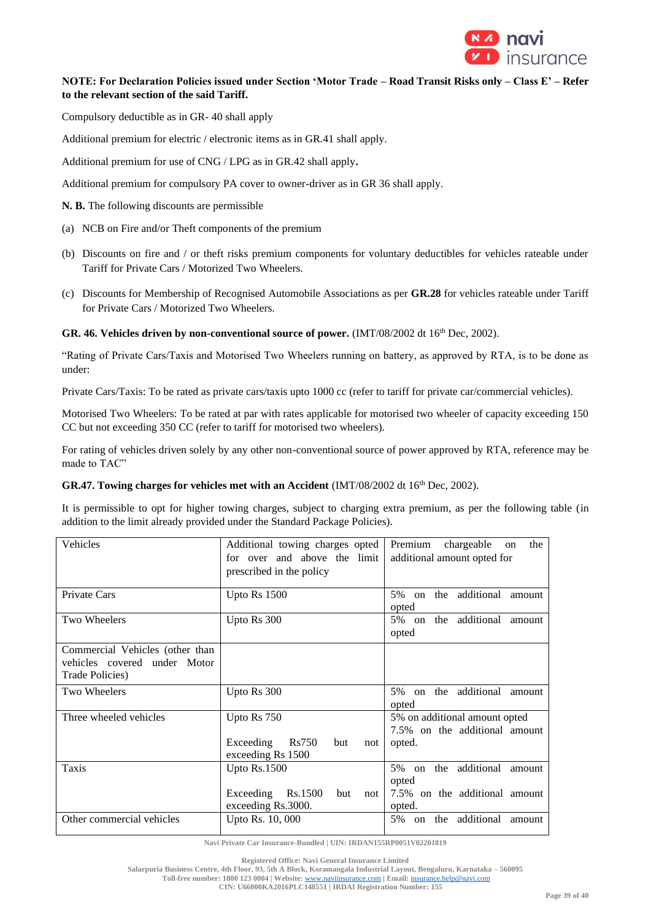

## **NOTE: For Declaration Policies issued under Section 'Motor Trade – Road Transit Risks only – Class E' – Refer to the relevant section of the said Tariff.**

Compulsory deductible as in GR- 40 shall apply

Additional premium for electric / electronic items as in GR.41 shall apply.

Additional premium for use of CNG / LPG as in GR.42 shall apply**.**

Additional premium for compulsory PA cover to owner-driver as in GR 36 shall apply.

- **N. B.** The following discounts are permissible
- (a) NCB on Fire and/or Theft components of the premium
- (b) Discounts on fire and / or theft risks premium components for voluntary deductibles for vehicles rateable under Tariff for Private Cars / Motorized Two Wheelers.
- (c) Discounts for Membership of Recognised Automobile Associations as per **GR.28** for vehicles rateable under Tariff for Private Cars / Motorized Two Wheelers.

GR. 46. Vehicles driven by non-conventional source of power. (IMT/08/2002 dt 16<sup>th</sup> Dec, 2002).

"Rating of Private Cars/Taxis and Motorised Two Wheelers running on battery, as approved by RTA, is to be done as under:

Private Cars/Taxis: To be rated as private cars/taxis upto 1000 cc (refer to tariff for private car/commercial vehicles).

Motorised Two Wheelers: To be rated at par with rates applicable for motorised two wheeler of capacity exceeding 150 CC but not exceeding 350 CC (refer to tariff for motorised two wheelers).

For rating of vehicles driven solely by any other non-conventional source of power approved by RTA, reference may be made to TAC"

#### **GR.47. Towing charges for vehicles met with an Accident** (IMT/08/2002 dt 16<sup>th</sup> Dec, 2002).

It is permissible to opt for higher towing charges, subject to charging extra premium, as per the following table (in addition to the limit already provided under the Standard Package Policies).

| Vehicles                                                                           | Additional towing charges opted<br>for over and above the limit<br>prescribed in the policy | chargeable<br>Premium<br>the<br>on<br>additional amount opted for                                      |
|------------------------------------------------------------------------------------|---------------------------------------------------------------------------------------------|--------------------------------------------------------------------------------------------------------|
| Private Cars                                                                       | Upto Rs 1500                                                                                | additional<br>5%<br>the<br>$\alpha$<br>amount<br>opted                                                 |
| Two Wheelers                                                                       | Upto Rs 300                                                                                 | the additional<br>5% on<br>amount<br>opted                                                             |
| Commercial Vehicles (other than<br>vehicles covered under Motor<br>Trade Policies) |                                                                                             |                                                                                                        |
| Two Wheelers                                                                       | Upto Rs 300                                                                                 | 5%<br>on the additional amount<br>opted                                                                |
| Three wheeled vehicles                                                             | Upto Rs 750<br>Exceeding<br>Rs750<br>but<br>not<br>exceeding Rs 1500                        | 5% on additional amount opted<br>7.5% on the additional amount<br>opted.                               |
| Taxis                                                                              | Upto $Rs.1500$<br>Exceeding<br>Rs.1500<br><b>but</b><br>not<br>exceeding Rs.3000.           | additional<br>the<br>5%<br><sub>on</sub><br>amount<br>opted<br>7.5% on the additional amount<br>opted. |
| Other commercial vehicles                                                          | Upto Rs. 10, 000                                                                            | additional<br>the<br>5%<br>$\alpha$<br>amount                                                          |

**Navi Private Car Insurance-Bundled | UIN: IRDAN155RP0051V02201819**

**Registered Office: Navi General Insurance Limited**

**Salarpuria Business Centre, 4th Floor, 93, 5th A Block, Koramangala Industrial Layout, Bengaluru, Karnataka – 560095**

**Toll-free number: 1800 123 0004 | Website:** [www.naviinsurance.com](http://www.naviinsurance.com/) **| Email:** [insurance.help@navi.com](mailto:insurance.help@navi.com)

**CIN: U66000KA2016PLC148551 | IRDAI Registration Number: 155**